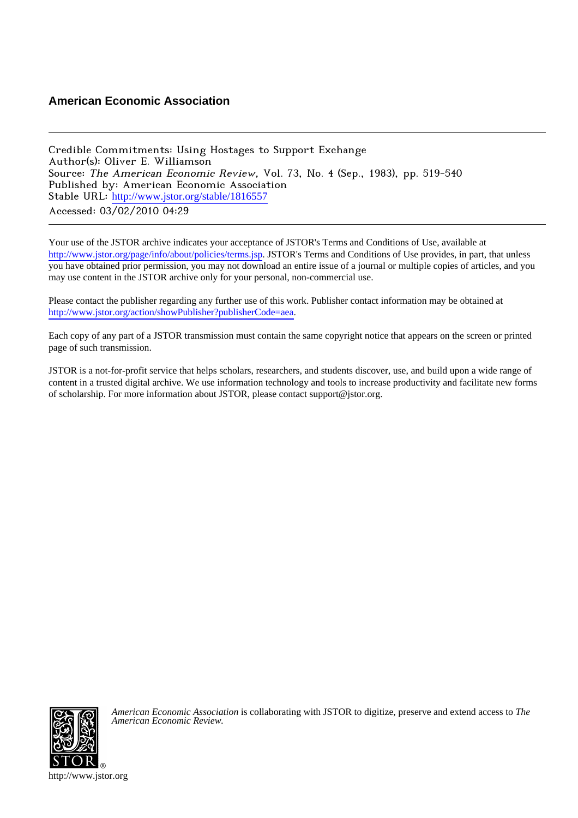## **American Economic Association**

Credible Commitments: Using Hostages to Support Exchange Author(s): Oliver E. Williamson Source: The American Economic Review, Vol. 73, No. 4 (Sep., 1983), pp. 519-540 Published by: American Economic Association Stable URL: [http://www.jstor.org/stable/1816557](http://www.jstor.org/stable/1816557?origin=JSTOR-pdf) Accessed: 03/02/2010 04:29

Your use of the JSTOR archive indicates your acceptance of JSTOR's Terms and Conditions of Use, available at <http://www.jstor.org/page/info/about/policies/terms.jsp>. JSTOR's Terms and Conditions of Use provides, in part, that unless you have obtained prior permission, you may not download an entire issue of a journal or multiple copies of articles, and you may use content in the JSTOR archive only for your personal, non-commercial use.

Please contact the publisher regarding any further use of this work. Publisher contact information may be obtained at <http://www.jstor.org/action/showPublisher?publisherCode=aea>.

Each copy of any part of a JSTOR transmission must contain the same copyright notice that appears on the screen or printed page of such transmission.

JSTOR is a not-for-profit service that helps scholars, researchers, and students discover, use, and build upon a wide range of content in a trusted digital archive. We use information technology and tools to increase productivity and facilitate new forms of scholarship. For more information about JSTOR, please contact support@jstor.org.



*American Economic Association* is collaborating with JSTOR to digitize, preserve and extend access to *The American Economic Review.*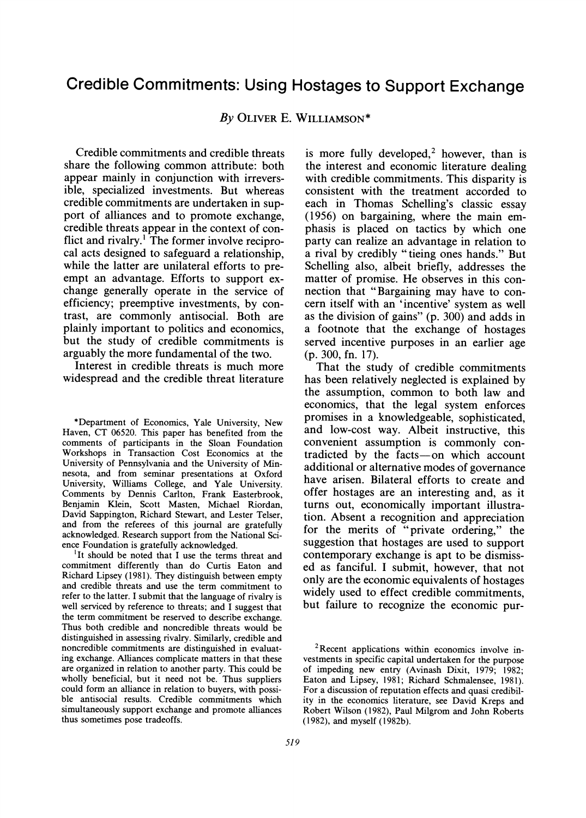# **Credible Commitments: Using Hostages to Support Exchange**

**By OLIVER E. WILLIAMSON\*** 

**Credible commitments and credible threats share the following common attribute: both appear mainly in conjunction with irreversible, specialized investments. But whereas credible commitments are undertaken in support of alliances and to promote exchange, credible threats appear in the context of conflict and rivalry.' The former involve reciprocal acts designed to safeguard a relationship, while the latter are unilateral efforts to preempt an advantage. Efforts to support exchange generally operate in the service of efficiency; preemptive investments, by contrast, are commonly antisocial. Both are plainly important to politics and economics, but the study of credible commitments is arguably the more fundamental of the two.** 

**Interest in credible threats is much more widespread and the credible threat literature** 

**\*Department of Economics, Yale University, New Haven, CT 06520. This paper has benefited from the comments of participants in the Sloan Foundation Workshops in Transaction Cost Economics at the University of Pennsylvania and the University of Minnesota, and from seminar presentations at Oxford University, Williams College, and Yale University. Comments by Dennis Carlton, Frank Easterbrook, Benjamin Klein, Scott Masten, Michael Riordan, David Sappington, Richard Stewart, and Lester Telser, and from the referees of this journal are gratefully acknowledged. Research support from the National Science Foundation is gratefully acknowledged.** 

<sup>1</sup>It should be noted that I use the terms threat and **commitment differently than do Curtis Eaton and Richard Lipsey (1981). They distinguish between empty and credible threats and use the term commitment to refer to the latter. I submit that the language of rivalry is well serviced by reference to threats; and I suggest that the term commitment be reserved to describe exchange. Thus both credible and noncredible threats would be distinguished in assessing rivalry. Similarly, credible and noncredible commitments are distinguished in evaluating exchange. Alliances complicate matters in that these are organized in relation to another party. This could be wholly beneficial, but it need not be. Thus suppliers could form an alliance in relation to buyers, with possible antisocial results. Credible commitments which simultaneously support exchange and promote alliances thus sometimes pose tradeoffs.** 

is more fully developed,<sup>2</sup> however, than is **the interest and economic literature dealing with credible commitments. This disparity is consistent with the treatment accorded to each in Thomas Schelling's classic essay (1956) on bargaining, where the main emphasis is placed on tactics by which one party can realize an advantage in relation to a rival by credibly "tieing ones hands." But Schelling also, albeit briefly, addresses the matter of promise. He observes in this connection that "Bargaining may have to concern itself with an 'incentive' system as well as the division of gains" (p. 300) and adds in a footnote that the exchange of hostages served incentive purposes in an earlier age (p. 300, fn. 17).** 

**That the study of credible commitments has been relatively neglected is explained by the assumption, common to both law and economics, that the legal system enforces promises in a knowledgeable, sophisticated, and low-cost way. Albeit instructive, this convenient assumption is commonly contradicted by the facts-on which account additional or alternative modes of governance have arisen. Bilateral efforts to create and offer hostages are an interesting and, as it turns out, economically important illustration. Absent a recognition and appreciation for the merits of "private ordering," the suggestion that hostages are used to support contemporary exchange is apt to be dismissed as fanciful. I submit, however, that not only are the economic equivalents of hostages**  widely used to effect credible commitments, **but failure to recognize the economic pur-** 

**<sup>2</sup>Recent applications within economics involve investments in specific capital undertaken for the purpose of impeding new entry (Avinash Dixit, 1979; 1982; Eaton and Lipsey, 1981; Richard Schmalensee, 1981). For a discussion of reputation effects and quasi credibility in the economics literature, see David Kreps and Robert Wilson (1982), Paul Milgrom and John Roberts ( 1982), and myself ( 1 982b).**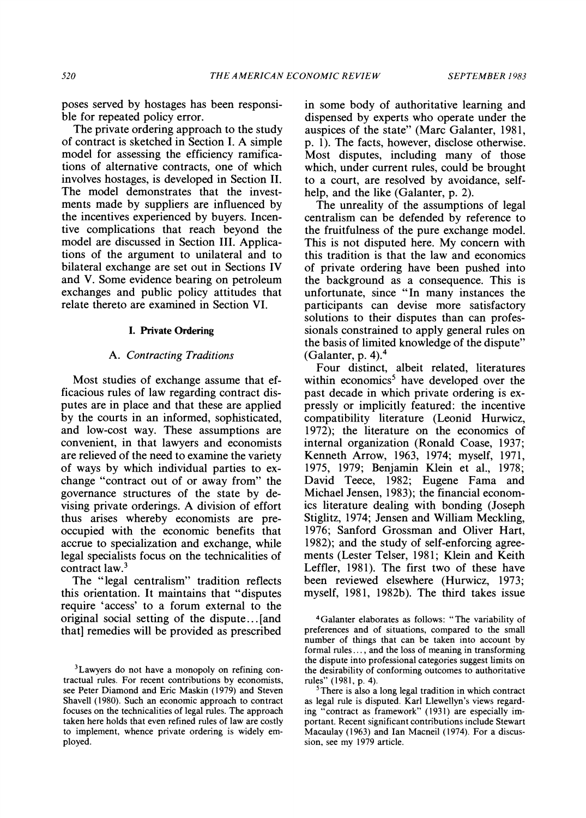**poses served by hostages has been responsible for repeated policy error.** 

**The private ordering approach to the study of contract is sketched in Section I. A simple model for assessing the efficiency ramifications of alternative contracts, one of which involves hostages, is developed in Section II. The model demonstrates that the investments made by suppliers are influenced by the incentives experienced by buyers. Incentive complications that reach beyond the model are discussed in Section III. Applications of the argument to unilateral and to bilateral exchange are set out in Sections IV and V. Some evidence bearing on petroleum exchanges and public policy attitudes that relate thereto are examined in Section VI.** 

#### **I. Private Ordering**

#### **A. Contracting Traditions**

**Most studies of exchange assume that efficacious rules of law regarding contract disputes are in place and that these are applied by the courts in an informed, sophisticated, and low-cost way. These assumptions are convenient, in that lawyers and economists are relieved of the need to examine the variety of ways by which individual parties to exchange "contract out of or away from" the governance structures of the state by devising private orderings. A division of effort thus arises whereby economists are preoccupied with the economic benefits that accrue to specialization and exchange, while legal specialists focus on the technicalities of contract law.3** 

**The "legal centralism" tradition reflects this orientation. It maintains that "disputes require 'access' to a forum external to the original social setting of the dispute... [and that] remedies will be provided as prescribed** 

**in some body of authoritative learning and dispensed by experts who operate under the auspices of the state" (Marc Galanter, 1981, p. 1). The facts, however, disclose otherwise. Most disputes, including many of those which, under current rules, could be brought to a court, are resolved by avoidance, selfhelp, and the like (Galanter, p. 2).** 

**The unreality of the assumptions of legal centralism can be defended by reference to the fruitfulness of the pure exchange model. This is not disputed here. My concern with this tradition is that the law and economics of private ordering have been pushed into the background as a consequence. This is unfortunate, since "In many instances the participants can devise more satisfactory solutions to their disputes than can professionals constrained to apply general rules on the basis of limited knowledge of the dispute" (Galanter, p. 4).4** 

**Four distinct, albeit related, literatures**  within economics<sup>5</sup> have developed over the **past decade in which private ordering is expressly or implicitly featured: the incentive compatibility literature (Leonid Hurwicz, 1972); the literature on the economics of internal organization (Ronald Coase, 1937; Kenneth Arrow, 1963, 1974; myself, 1971, 1975, 1979; Benjamin Klein et al., 1978; David Teece, 1982; Eugene Fama and Michael Jensen, 1983); the financial economics literature dealing with bonding (Joseph Stiglitz, 1974; Jensen and William Meckling, 1976; Sanford Grossman and Oliver Hart, 1982); and the study of self-enforcing agreements (Lester Telser, 1981; Klein and Keith Leffler, 1981). The first two of these have been reviewed elsewhere (Hurwicz, 1973; myself, 1981, 1982b). The third takes issue** 

**4Galanter elaborates as follows: "The variability of preferences and of situations, compared to the small number of things that can be taken into account by formal rules..., and the loss of meaning in transforming the dispute into professional categories suggest limits on the desirability of conforming outcomes to authoritative rules" (1981, p. 4).** 

**<sup>3</sup>Lawyers do not have a monopoly on refining contractual rules. For recent contributions by economists, see Peter Diamond and Eric Maskin (1979) and Steven Shavell (1980). Such an economic approach to contract focuses on the technicalities of legal rules. The approach taken here holds that even refined rules of law are costly to implement, whence private ordering is widely employed.** 

<sup>&</sup>lt;sup>5</sup> There is also a long legal tradition in which contract **as legal rule is disputed. Karl Llewellyn's views regarding "contract as framework" (1931) are especially important. Recent significant contributions include Stewart Macaulay (1963) and Ian Macneil (1974). For a discussion, see my 1979 article.**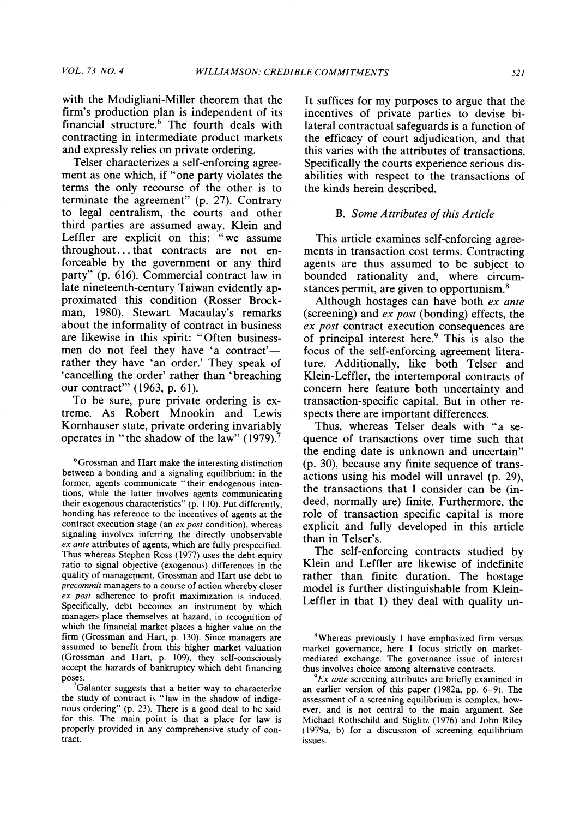**with the Modigliani-Miller theorem that the firm's production plan is independent of its financial structure.6 The fourth deals with contracting in intermediate product markets and expressly relies on private ordering.** 

**Telser characterizes a self-enforcing agreement as one which, if "one party violates the terms the only recourse of the other is to terminate the agreement" (p. 27). Contrary to legal centralism, the courts and other third parties are assumed away. Klein and Leffler are explicit on this: "we assume throughout... that contracts are not enforceable by the government or any third party" (p. 616). Commercial contract law in late nineteenth-century Taiwan evidently approximated this condition (Rosser Brockman, 1980). Stewart Macaulay's remarks about the informality of contract in business are likewise in this spirit: "Often business**men do not feel they have 'a contract'**rather they have 'an order.' They speak of 'cancelling the order' rather than 'breaching our contract"' (1963, p. 61).** 

**To be sure, pure private ordering is extreme. As Robert Mnookin and Lewis Kornhauser state, private ordering invariably operates in "the shadow of the law" (1979).7** 

**6Grossman and Hart make the interesting distinction between a bonding and a signaling equilibrium: in the former, agents communicate "their endogenous intentions, while the latter involves agents communicating their exogenous characteristics" (p. 110). Put differently, bonding has reference to the incentives of agents at the contract execution stage (an ex post condition), whereas signaling involves inferring the directly unobservable ex ante attributes of agents, which are fully prespecified. Thus whereas Stephen Ross (1977) uses the debt-equity ratio to signal objective (exogenous) differences in the quality of management, Grossman and Hart use debt to precommit managers to a course of action whereby closer ex post adherence to profit maximization is induced. Specifically, debt becomes an instrument by which managers place themselves at hazard, in recognition of which the financial market places a higher value on the firm (Grossman and Hart, p. 130). Since managers are assumed to benefit from this higher market valuation (Grossman and Hart, p. 109), they self-consciously accept the hazards of bankruptcy which debt financing poses.** 

**7Galanter suggests that a better way to characterize the study of contract is "law in the shadow of indigenous ordering" (p. 23). There is a good deal to be said for this. The main point is that a place for law is properly provided in any comprehensive study of contract.** 

**It suffices for my purposes to argue that the incentives of private parties to devise bilateral contractual safeguards is a function of the efficacy of court adjudication, and that this varies with the attributes of transactions. Specifically the courts experience serious disabilities with respect to the transactions of the kinds herein described.** 

## **B. Some Attributes of this Article**

**This article examines self-enforcing agreements in transaction cost terms. Contracting agents are thus assumed to be subject to bounded rationality and, where circumstances permit, are given to opportunism.8** 

**Although hostages can have both ex ante (screening) and ex post (bonding) effects, the ex post contract execution consequences are of principal interest here.9 This is also the focus of the self-enforcing agreement literature. Additionally, like both Telser and Klein-Leffler, the intertemporal contracts of concern here feature both uncertainty and transaction-specific capital. But in other respects there are important differences.** 

**Thus, whereas Telser deals with "a sequence of transactions over time such that the ending date is unknown and uncertain" (p. 30), because any finite sequence of transactions using his model will unravel (p. 29), the transactions that I consider can be (indeed, normally are) finite. Furthermore, the role of transaction specific capital is more explicit and fully developed in this article than in Telser's.** 

**The self-enforcing contracts studied by Klein and Leffler are likewise of indefinite rather than finite duration. The hostage model is further distinguishable from Klein-Leffler in that 1) they deal with quality un-**

**8Whereas previously I have emphasized firm versus market governance, here I focus strictly on marketmediated exchange. The governance issue of interest thus involves choice among alternative contracts.** 

**9Ex ante screening attributes are briefly examined in an earlier version of this paper (1982a, pp. 6-9). The assessment of a screening equilibrium is complex, however, and is not central to the main argument. See Michael Rothschild and Stiglitz (1976) and John Riley (1 979a, b) for a discussion of screening equilibrium issues.**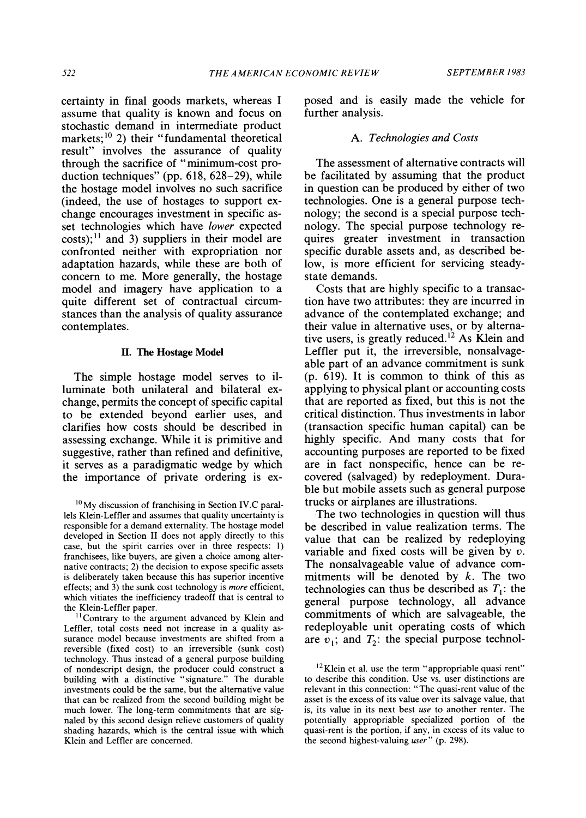**certainty in final goods markets, whereas I assume that quality is known and focus on stochastic demand in intermediate product markets;'0 2) their "fundamental theoretical result" involves the assurance of quality through the sacrifice of "minimum-cost production techniques" (pp. 618, 628-29), while the hostage model involves no such sacrifice (indeed, the use of hostages to support exchange encourages investment in specific asset technologies which have lower expected costs);" and 3) suppliers in their model are confronted neither with expropriation nor adaptation hazards, while these are both of concern to me. More generally, the hostage model and imagery have application to a quite different set of contractual circumstances than the analysis of quality assurance contemplates.** 

#### **II. The Hostage Model**

**The simple hostage model serves to illuminate both unilateral and bilateral exchange, permits the concept of specific capital to be extended beyond earlier uses, and clarifies how costs should be described in assessing exchange. While it is primitive and suggestive, rather than refined and definitive, it serves as a paradigmatic wedge by which the importance of private ordering is ex-**

**"Contrary to the argument advanced by Klein and Leffler, total costs need not increase in a quality assurance model because investments are shifted from a reversible (fixed cost) to an irreversible (sunk cost) technology. Thus instead of a general purpose building of nondescript design, the producer could construct a building with a distinctive "signature." The durable investments could be the same, but the alternative value that can be realized from the second building might be much lower. The long-term commitments that are signaled by this second design relieve customers of quality shading hazards, which is the central issue with which Klein and Leffler are concerned.** 

**posed and is easily made the vehicle for further analysis.** 

## **A. Technologies and Costs**

**The assessment of alternative contracts will be facilitated by assuming that the product in question can be produced by either of two technologies. One is a general purpose technology; the second is a special purpose technology. The special purpose technology requires greater investment in transaction specific durable assets and, as described below, is more efficient for servicing steadystate demands.** 

**Costs that are highly specific to a transaction have two attributes: they are incurred in advance of the contemplated exchange; and their value in alternative uses, or by alternative users, is greatly reduced.12 As Klein and Leffler put it, the irreversible, nonsalvageable part of an advance commitment is sunk (p. 619). It is common to think of this as applying to physical plant or accounting costs that are reported as fixed, but this is not the critical distinction. Thus investments in labor (transaction specific human capital) can be highly specific. And many costs that for accounting purposes are reported to be fixed are in fact nonspecific, hence can be recovered (salvaged) by redeployment. Durable but mobile assets such as general purpose trucks or airplanes are illustrations.** 

**The two technologies in question will thus be described in value realization terms. The value that can be realized by redeploying variable and fixed costs will be given by v. The nonsalvageable value of advance commitments will be denoted by k. The two**  technologies can thus be described as  $T_1$ : the **general purpose technology, all advance commitments of which are salvageable, the redeployable unit operating costs of which**  are  $v_1$ ; and  $T_2$ : the special purpose technol-

**<sup>&#</sup>x27;0My discussion of franchising in Section IV.C parallels Klein-Leffler and assumes that quality uncertainty is responsible for a demand externality. The hostage model developed in Section II does not apply directly to this case, but the spirit carries over in three respects: 1) franchisees, like buyers, are given a choice among alternative contracts; 2) the decision to expose specific assets is deliberately taken because this has superior incentive effects; and 3) the sunk cost technology is more efficient, which vitiates the inefficiency tradeoff that is central to the Klein-Leffler paper.** 

**<sup>12</sup>Klein et al. use the term "appropriable quasi rent" to describe this condition. Use vs. user distinctions are relevant in this connection: "The quasi-rent value of the asset is the excess of its value over its salvage value, that is, its value in its next best use to another renter. The potentially appropriable specialized portion of the quasi-rent is the portion, if any, in excess of its value to the second highest-valuing user" (p. 298).**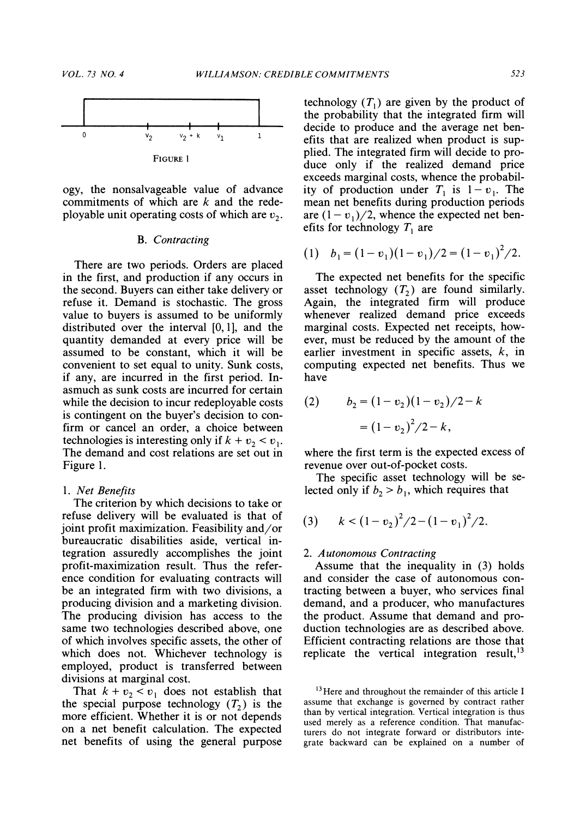



**ogy, the nonsalvageable value of advance commitments of which are k and the rede**ployable unit operating costs of which are  $v_2$ .

## **B. Contracting**

**There are two periods. Orders are placed in the first, and production if any occurs in the second. Buyers can either take delivery or refuse it. Demand is stochastic. The gross value to buyers is assumed to be uniformly distributed over the interval [0, 1], and the quantity demanded at every price will be assumed to be constant, which it will be convenient to set equal to unity. Sunk costs, if any, are incurred in the first period. Inasmuch as sunk costs are incurred for certain while the decision to incur redeployable costs is contingent on the buyer's decision to confirm or cancel an order, a choice between technologies is interesting only if**  $k + v_2 < v_1$ **. The demand and cost relations are set out in Figure 1.** 

#### **1. Net Benefits**

**The criterion by which decisions to take or refuse delivery will be evaluated is that of joint profit maximization. Feasibility and/or bureaucratic disabilities aside, vertical integration assuredly accomplishes the joint profit-maximization result. Thus the reference condition for evaluating contracts will be an integrated firm with two divisions, a producing division and a marketing division. The producing division has access to the same two technologies described above, one of which involves specific assets, the other of which does not. Whichever technology is employed, product is transferred between divisions at marginal cost.** 

That  $k + v_2 < v_1$  does not establish that the special purpose technology  $(T_2)$  is the **more efficient. Whether it is or not depends on a net benefit calculation. The expected net benefits of using the general purpose**  technology  $(T_1)$  are given by the product of **the probability that the integrated firm will decide to produce and the average net benefits that are realized when product is supplied. The integrated firm will decide to produce only if the realized demand price exceeds marginal costs, whence the probabil**ity of production under  $T_1$  is  $1-v_1$ . The **mean net benefits during production periods**  are  $(1 - v_1)/2$ , whence the expected net benefits for technology  $T_1$  are

(1) 
$$
b_1 = (1 - v_1)(1 - v_1)/2 = (1 - v_1)^2/2.
$$

**The expected net benefits for the specific**  asset technology  $(T_2)$  are found similarly. **Again, the integrated firm will produce whenever realized demand price exceeds marginal costs. Expected net receipts, however, must be reduced by the amount of the earlier investment in specific assets, k, in computing expected net benefits. Thus we have** 

(2) 
$$
b_2 = (1 - v_2)(1 - v_2)/2 - k
$$

$$
= (1 - v_2)^2/2 - k,
$$

**where the first term is the expected excess of revenue over out-of-pocket costs.** 

**The specific asset technology will be se**lected only if  $b_2 > b_1$ , which requires that

(3) 
$$
k < (1 - v_2)^2 / 2 - (1 - v_1)^2 / 2.
$$

#### **2. Autonomous Contracting**

**Assume that the inequality in (3) holds and consider the case of autonomous contracting between a buyer, who services final demand, and a producer, who manufactures the product. Assume that demand and production technologies are as described above. Efficient contracting relations are those that replicate the vertical integration result,'3** 

**<sup>13</sup>Here and throughout the remainder of this article I assume that exchange is governed by contract rather than by vertical integration. Vertical integration is thus used merely as a reference condition. That manufacturers do not integrate forward or distributors integrate backward can be explained on a number of**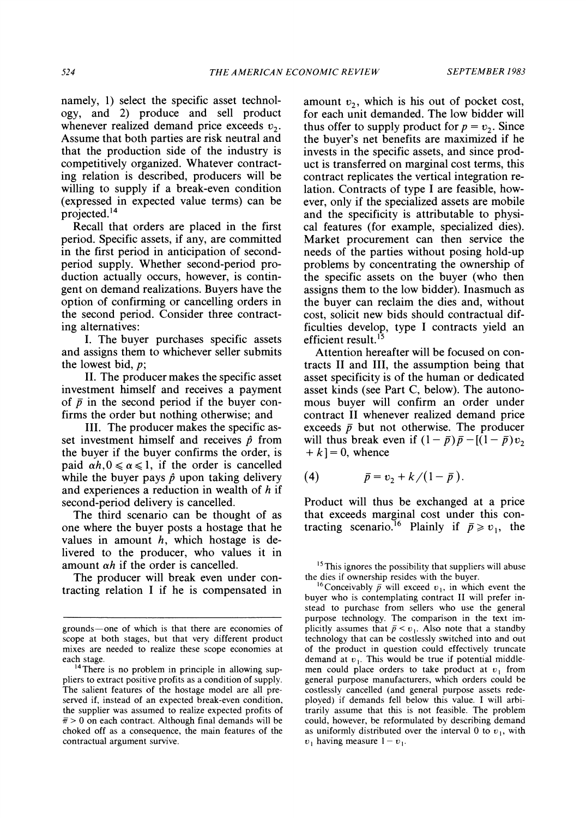**namely, 1) select the specific asset technology, and 2) produce and sell product**  whenever realized demand price exceeds  $v_2$ . **Assume that both parties are risk neutral and that the production side of the industry is competitively organized. Whatever contracting relation is described, producers will be willing to supply if a break-even condition (expressed in expected value terms) can be projected. <sup>14</sup>**

**Recall that orders are placed in the first period. Specific assets, if any, are committed in the first period in anticipation of secondperiod supply. Whether second-period production actually occurs, however, is contingent on demand realizations. Buyers have the option of confirming or cancelling orders in the second period. Consider three contracting alternatives:** 

**I. The buyer purchases specific assets and assigns them to whichever seller submits the lowest bid, p;** 

**II. The producer makes the specific asset investment himself and receives a payment**  of  $\bar{p}$  in the second period if the buyer con**firms the order but nothing otherwise; and** 

**III. The producer makes the specific as**set investment himself and receives  $\hat{p}$  from **the buyer if the buyer confirms the order, is**  paid  $\alpha h, 0 \le \alpha \le 1$ , if the order is cancelled while the buyer pays  $\hat{p}$  upon taking delivery **and experiences a reduction in wealth of h if second-period delivery is cancelled.** 

**The third scenario can be thought of as one where the buyer posts a hostage that he values in amount h, which hostage is delivered to the producer, who values it in**  amount  $\alpha h$  if the order is cancelled.

**The producer will break even under contracting relation I if he is compensated in**  amount  $v_2$ , which is his out of pocket cost, **for each unit demanded. The low bidder will thus offer to supply product for**  $p = v_2$ **. Since the buyer's net benefits are maximized if he invests in the specific assets, and since product is transferred on marginal cost terms, this contract replicates the vertical integration relation. Contracts of type I are feasible, however, only if the specialized assets are mobile and the specificity is attributable to physical features (for example, specialized dies). Market procurement can then service the needs of the parties without posing hold-up problems by concentrating the ownership of the specific assets on the buyer (who then assigns them to the low bidder). Inasmuch as the buyer can reclaim the dies and, without cost, solicit new bids should contractual difficulties develop, type I contracts yield an**  efficient result.<sup>1</sup>

**Attention hereafter will be focused on contracts II and III, the assumption being that asset specificity is of the human or dedicated asset kinds (see Part C, below). The autonomous buyer will confirm an order under contract II whenever realized demand price**  exceeds  $\bar{p}$  but not otherwise. The producer will thus break even if  $(1 - \bar{p})\bar{p} - [(1 - \bar{p})v_2]$  $+ k$ ] = 0, whence

(4) 
$$
\bar{p} = v_2 + k/(1 - \bar{p})
$$
.

**Product will thus be exchanged at a price that exceeds marginal cost under this contracting scenario.**<sup>16</sup> Plainly if  $\bar{p} \ge v_1$ , the

**15This ignores the possibility that suppliers will abuse the dies if ownership resides with the buyer.** 

<sup>16</sup> Conceivably  $\bar{p}$  will exceed  $v_1$ , in which event the **buyer who is contemplating contract II will prefer instead to purchase from sellers who use the general purpose technology. The comparison in the text im**plicitly assumes that  $\bar{p} < v_1$ . Also note that a standby **technology that can be costlessly switched into and out of the product in question could effectively truncate**  demand at  $v_1$ . This would be true if potential middlemen could place orders to take product at  $v_1$  from **general purpose manufacturers, which orders could be costlessly cancelled (and general purpose assets redeployed) if demands fell below this value. I will arbitrarily assume that this is not feasible. The problem could, however, be reformulated by describing demand**  as uniformly distributed over the interval  $0$  to  $v_1$ , with  $v_1$  having measure  $1 - v_1$ .

**grounds-one of which is that there are economies of scope at both stages, but that very different product mixes are needed to realize these scope economies at each stage.** 

**<sup>&#</sup>x27;4There is no problem in principle in allowing suppliers to extract positive profits as a condition of supply. The salient features of the hostage model are all preserved if, instead of an expected break-even condition, the supplier was assumed to realize expected profits of**   $\bar{\pi}$  > 0 on each contract. Although final demands will be **choked off as a consequence, the main features of the contractual argument survive.**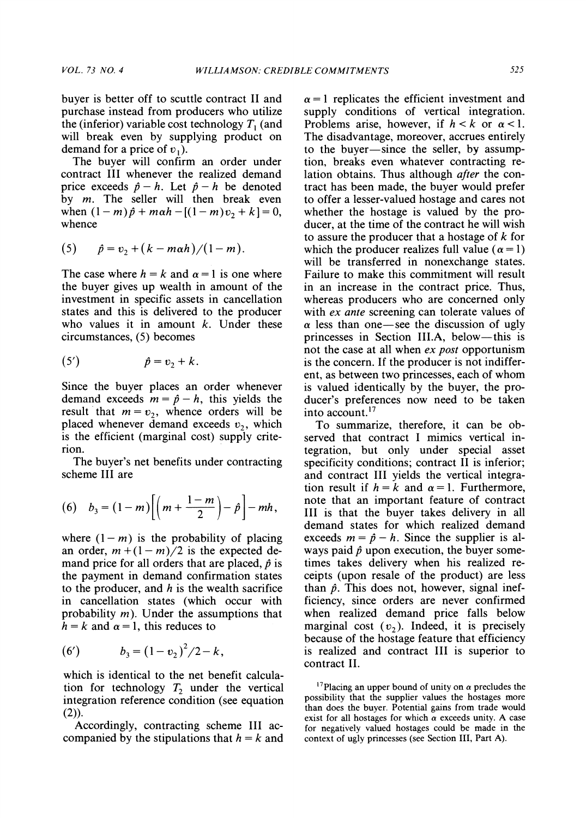**buyer is better off to scuttle contract II and purchase instead from producers who utilize the (inferior) variable cost technology T, (and will break even by supplying product on**  demand for a price of  $v_1$ ).

**The buyer will confirm an order under contract III whenever the realized demand price exceeds**  $\hat{p} - h$ **. Let**  $\hat{p} - h$  **be denoted by m. The seller will then break even**  when  $(1 - m)\hat{p} + m\alpha h - [(1 - m)v_2 + k] = 0$ , **whence** 

(5) 
$$
\hat{p} = v_2 + (k - m\alpha h)/(1 - m).
$$

The case where  $h = k$  and  $\alpha = 1$  is one where **the buyer gives up wealth in amount of the investment in specific assets in cancellation states and this is delivered to the producer who values it in amount k. Under these circumstances, (5) becomes** 

$$
(5') \qquad \qquad \hat{p} = v_2 + k.
$$

**Since the buyer places an order whenever demand exceeds**  $m = \hat{p} - h$ , this yields the **result that**  $m = v_2$ **, whence orders will be** placed whenever demand exceeds  $v_2$ , which **is the efficient (marginal cost) supply criterion.** 

**The buyer's net benefits under contracting scheme III are** 

(6) 
$$
b_3 = (1-m)\left[ \left( m + \frac{1-m}{2} \right) - \hat{p} \right] - mh,
$$

where  $(1 - m)$  is the probability of placing an order,  $m + (1 - m)/2$  is the expected demand price for all orders that are placed,  $\hat{p}$  is **the payment in demand confirmation states to the producer, and h is the wealth sacrifice in cancellation states (which occur with probability m). Under the assumptions that**   $h = k$  and  $\alpha = 1$ , this reduces to

(6') 
$$
b_3 = (1 - v_2)^2 / 2 - k,
$$

**which is identical to the net benefit calcula**tion for technology  $T_2$  under the vertical **integration reference condition (see equation**   $(2)$ ).

**Accordingly, contracting scheme III ac**companied by the stipulations that  $h = k$  and  $\alpha = 1$  replicates the efficient investment and **supply conditions of vertical integration.**  Problems arise, however, if  $h < k$  or  $\alpha < 1$ . **The disadvantage, moreover, accrues entirely**  to the buyer—since the seller, by assump**tion, breaks even whatever contracting re**lation obtains. Thus although *after* the con**tract has been made, the buyer would prefer to offer a lesser-valued hostage and cares not whether the hostage is valued by the producer, at the time of the contract he will wish to assure the producer that a hostage of k for**  which the producer realizes full value ( $\alpha = 1$ ) **will be transferred in nonexchange states. Failure to make this commitment will result in an increase in the contract price. Thus, whereas producers who are concerned only with ex ante screening can tolerate values of**   $\alpha$  less than one—see the discussion of ugly **princesses in Section III.A, below-this is not the case at all when ex post opportunism is the concern. If the producer is not indifferent, as between two princesses, each of whom is valued identically by the buyer, the producer's preferences now need to be taken into account.'7** 

**To summarize, therefore, it can be observed that contract I mimics vertical integration, but only under special asset specificity conditions; contract II is inferior; and contract III yields the vertical integration result if**  $h = k$  **and**  $\alpha = 1$ **. Furthermore, note that an important feature of contract III is that the buyer takes delivery in all demand states for which realized demand**  exceeds  $m = \hat{p} - h$ . Since the supplier is always paid  $\hat{p}$  upon execution, the buyer some**times takes delivery when his realized receipts (upon resale of the product) are less**  than  $\hat{p}$ . This does not, however, signal inef**ficiency, since orders are never confirmed when realized demand price falls below**  marginal cost  $(v_2)$ . Indeed, it is precisely **because of the hostage feature that efficiency is realized and contract III is superior to contract II.** 

<sup>17</sup> Placing an upper bound of unity on  $\alpha$  precludes the **possibility that the supplier values the hostages more than does the buyer. Potential gains from trade would**  exist for all hostages for which  $\alpha$  exceeds unity. A case **for negatively valued hostages could be made in the**  context of ugly princesses (see Section III, Part A).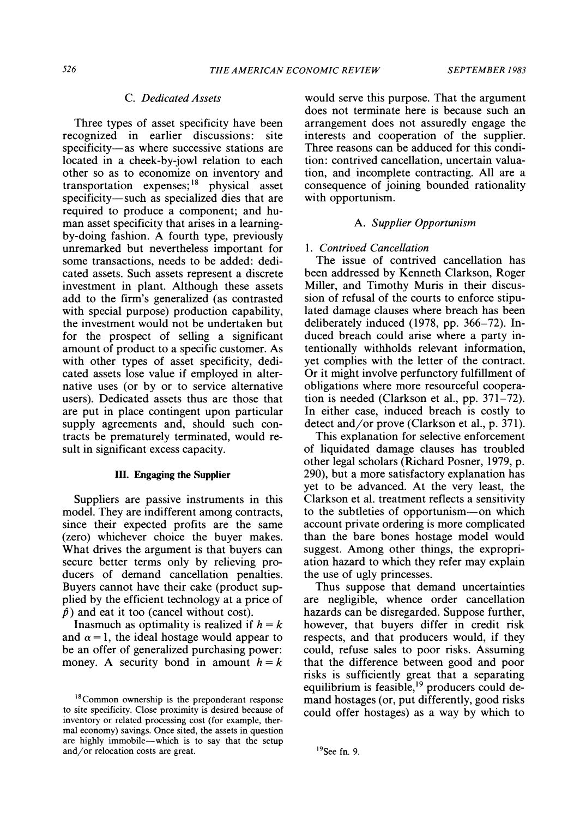## **C. Dedicated Assets**

**Three types of asset specificity have been recognized in earlier discussions: site specificity- as where successive stations are located in a cheek-by-jowl relation to each other so as to economize on inventory and transportation expenses;'8 physical asset specificity-such as specialized dies that are required to produce a component; and human asset specificity that arises in a learningby-doing fashion. A fourth type, previously unremarked but nevertheless important for some transactions, needs to be added: dedicated assets. Such assets represent a discrete investment in plant. Although these assets add to the firm's generalized (as contrasted with special purpose) production capability, the investment would not be undertaken but for the prospect of selling a significant amount of product to a specific customer. As with other types of asset specificity, dedicated assets lose value if employed in alternative uses (or by or to service alternative users). Dedicated assets thus are those that are put in place contingent upon particular supply agreements and, should such contracts be prematurely terminated, would result in significant excess capacity.** 

#### **III. Engaging the Supplier**

**Suppliers are passive instruments in this model. They are indifferent among contracts, since their expected profits are the same (zero) whichever choice the buyer makes. What drives the argument is that buyers can secure better terms only by relieving producers of demand cancellation penalties. Buyers cannot have their cake (product supplied by the efficient technology at a price of**   $\hat{p}$ ) and eat it too (cancel without cost).

**Inasmuch as optimality is realized if**  $h = k$ and  $\alpha = 1$ , the ideal hostage would appear to **be an offer of generalized purchasing power:**  money. A security bond in amount  $h = k$  **would serve this purpose. That the argument does not terminate here is because such an arrangement does not assuredly engage the interests and cooperation of the supplier. Three reasons can be adduced for this condition: contrived cancellation, uncertain valuation, and incomplete contracting. All are a consequence of joining bounded rationality with opportunism.** 

#### **A. Supplier Opportunism**

### **1. Contrived Cancellation**

**The issue of contrived cancellation has been addressed by Kenneth Clarkson, Roger Miller, and Timothy Muris in their discussion of refusal of the courts to enforce stipulated damage clauses where breach has been deliberately induced (1978, pp. 366-72). Induced breach could arise where a party intentionally withholds relevant information, yet complies with the letter of the contract. Or it might involve perfunctory fulfillment of obligations where more resourceful cooperation is needed (Clarkson et al., pp. 371-72). In either case, induced breach is costly to detect and/or prove (Clarkson et al., p. 371).** 

**This explanation for selective enforcement of liquidated damage clauses has troubled other legal scholars (Richard Posner, 1979, p. 290), but a more satisfactory explanation has yet to be advanced. At the very least, the Clarkson et al. treatment reflects a sensitivity to the subtleties of opportunism-on which account private ordering is more complicated than the bare bones hostage model would suggest. Among other things, the expropriation hazard to which they refer may explain the use of ugly princesses.** 

**Thus suppose that demand uncertainties are negligible, whence order cancellation hazards can be disregarded. Suppose further, however, that buyers differ in credit risk respects, and that producers would, if they could, refuse sales to poor risks. Assuming that the difference between good and poor risks is sufficiently great that a separating equilibrium is feasible,'9 producers could demand hostages (or, put differently, good risks could offer hostages) as a way by which to** 

**<sup>18</sup>Common ownership is the preponderant response to site specificity. Close proximity is desired because of inventory or related processing cost (for example, thermal economy) savings. Once sited, the assets in question are highly immobile-which is to say that the setup**  and/or relocation costs are great. <sup>19</sup>See fn. 9.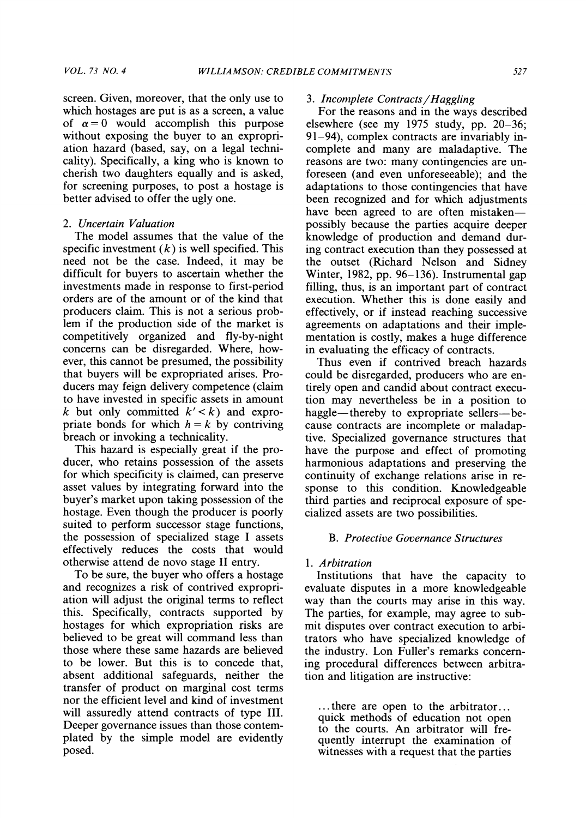**screen. Given, moreover, that the only use to which hostages are put is as a screen, a value**  of  $\alpha = 0$  would accomplish this purpose **without exposing the buyer to an expropriation hazard (based, say, on a legal technicality). Specifically, a king who is known to cherish two daughters equally and is asked, for screening purposes, to post a hostage is better advised to offer the ugly one.** 

## **2. Uncertain Valuation**

**The model assumes that the value of the specific investment (k) is well specified. This need not be the case. Indeed, it may be difficult for buyers to ascertain whether the investments made in response to first-period orders are of the amount or of the kind that producers claim. This is not a serious problem if the production side of the market is competitively organized and fly-by-night concerns can be disregarded. Where, however, this cannot be presumed, the possibility that buyers will be expropriated arises. Producers may feign delivery competence (claim to have invested in specific assets in amount**   $k$  but only committed  $k' < k$ ) and expropriate bonds for which  $h = k$  by contriving **breach or invoking a technicality.** 

**This hazard is especially great if the producer, who retains possession of the assets for which specificity is claimed, can preserve asset values by integrating forward into the buyer's market upon taking possession of the hostage. Even though the producer is poorly suited to perform successor stage functions, the possession of specialized stage I assets effectively reduces the costs that would otherwise attend de novo stage II entry.** 

**To be sure, the buyer who offers a hostage and recognizes a risk of contrived expropriation will adjust the original terms to reflect this. Specifically, contracts supported by hostages for which expropriation risks are believed to be great will command less than those where these same hazards are believed to be lower. But this is to concede that, absent additional safeguards, neither the transfer of product on marginal cost terms nor the efficient level and kind of investment will assuredly attend contracts of type III. Deeper governance issues than those contemplated by the simple model are evidently posed.** 

## **3. Incomplete Contracts/Haggling**

**For the reasons and in the ways described elsewhere (see my 1975 study, pp. 20-36; 91-94), complex contracts are invariably incomplete and many are maladaptive. The reasons are two: many contingencies are unforeseen (and even unforeseeable); and the adaptations to those contingencies that have been recognized and for which adjustments**  have been agreed to are often mistaken **possibly because the parties acquire deeper knowledge of production and demand during contract execution than they possessed at the outset (Richard Nelson and Sidney Winter, 1982, pp. 96-136). Instrumental gap filling, thus, is an important part of contract execution. Whether this is done easily and effectively, or if instead reaching successive agreements on adaptations and their implementation is costly, makes a huge difference in evaluating the efficacy of contracts.** 

**Thus even if contrived breach hazards could be disregarded, producers who are entirely open and candid about contract execution may nevertheless be in a position to**  haggle-thereby to expropriate sellers-be**cause contracts are incomplete or maladaptive. Specialized governance structures that have the purpose and effect of promoting harmonious adaptations and preserving the continuity of exchange relations arise in response to this condition. Knowledgeable third parties and reciprocal exposure of specialized assets are two possibilities.** 

## **B. Protective Governance Structures**

#### **1. Arbitration**

**Institutions that have the capacity to evaluate disputes in a more knowledgeable way than the courts may arise in this way. The parties, for example, may agree to submit disputes over contract execution to arbitrators who have specialized knowledge of the industry. Lon Fuller's remarks concerning procedural differences between arbitration and litigation are instructive:** 

**... there are open to the arbitrator... quick methods of education not open to the courts. An arbitrator will frequently interrupt the examination of witnesses with a request that the parties**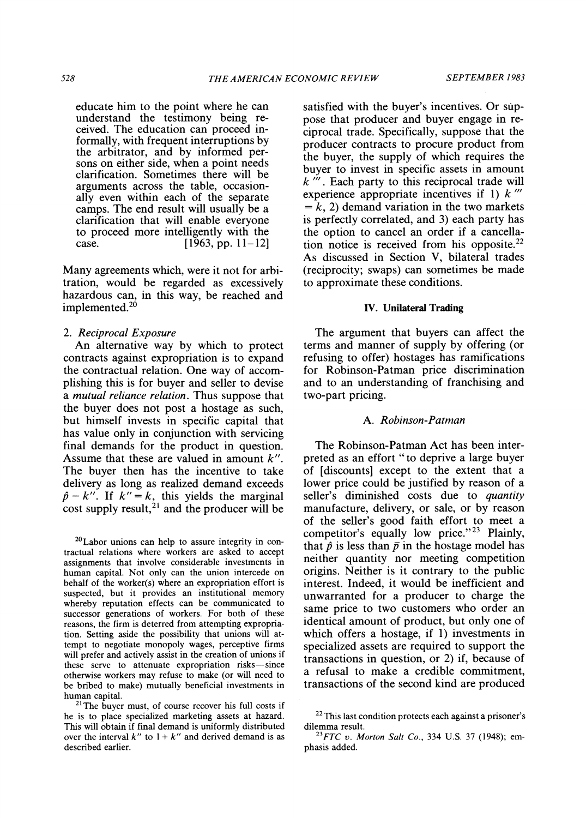**educate him to the point where he can understand the testimony being received. The education can proceed informally, with frequent interruptions by the arbitrator, and by informed persons on either side, when a point needs clarification. Sometimes there will be arguments across the table, occasionally even within each of the separate camps. The end result will usually be a clarification that will enable everyone to proceed more intelligently with the**   $[1963, pp. 11-12]$ 

**Many agreements which, were it not for arbitration, would be regarded as excessively hazardous can, in this way, be reached and implemented.20** 

#### **2. Reciprocal Exposure**

**An alternative way by which to protect contracts against expropriation is to expand the contractual relation. One way of accomplishing this is for buyer and seller to devise a mutual reliance relation. Thus suppose that the buyer does not post a hostage as such, but himself invests in specific capital that has value only in conjunction with servicing final demands for the product in question. Assume that these are valued in amount k". The buyer then has the incentive to take delivery as long as realized demand exceeds**   $\hat{p} - k''$ . If  $k'' = k$ , this yields the marginal **cost supply result,2' and the producer will be** 

**<sup>20</sup>Labor unions can help to assure integrity in contractual relations where workers are asked to accept assignments that involve considerable investments in human capital. Not only can the union intercede on behalf of the worker(s) where an expropriation effort is suspected, but it provides an institutional memory whereby reputation effects can be communicated to successor generations of workers. For both of these reasons, the firm is deterred from attempting expropriation. Setting aside the possibility that unions will attempt to negotiate monopoly wages, perceptive firms will prefer and actively assist in the creation of unions if these serve to attenuate expropriation risks-since otherwise workers may refuse to make (or will need to be bribed to make) mutually beneficial investments in human capital.** 

**2'The buyer must, of course recover his full costs if he is to place specialized marketing assets at hazard. This will obtain if final demand is uniformly distributed**  over the interval  $k''$  to  $1 + k''$  and derived demand is as **described earlier.** 

**satisfied with the buyer's incentives. Or suppose that producer and buyer engage in reciprocal trade. Specifically, suppose that the producer contracts to procure product from the buyer, the supply of which requires the buyer to invest in specific assets in amount k "'. Each party to this reciprocal trade will**  experience appropriate incentives if 1)  $k$ <sup>"'</sup>  $= k, 2$ ) demand variation in the two markets **is perfectly correlated, and 3) each party has the option to cancel an order if a cancellation notice is received from his opposite.22 As discussed in Section V, bilateral trades (reciprocity; swaps) can sometimes be made to approximate these conditions.** 

#### **IV. Unilateral Trading**

**The argument that buyers can affect the terms and manner of supply by offering (or refusing to offer) hostages has ramifications for Robinson-Patman price discrimination and to an understanding of franchising and two-part pricing.** 

## **A. Robinson-Patman**

**The Robinson-Patman Act has been interpreted as an effort "to deprive a large buyer of [discounts] except to the extent that a lower price could be justified by reason of a seller's diminished costs due to quantity manufacture, delivery, or sale, or by reason of the seller's good faith effort to meet a competitor's equally low price."23 Plainly,**  that  $\hat{p}$  is less than  $\bar{p}$  in the hostage model has **neither quantity nor meeting competition origins. Neither is it contrary to the public interest. Indeed, it would be inefficient and unwarranted for a producer to charge the same price to two customers who order an identical amount of product, but only one of which offers a hostage, if 1) investments in specialized assets are required to support the transactions in question, or 2) if, because of a refusal to make a credible commitment, transactions of the second kind are produced** 

**<sup>22</sup>This last condition protects each against a prisoner's dilemma result.** 

**<sup>23</sup>FTC v. Morton Salt Co., 334 U.S. 37 (1948); emphasis added.**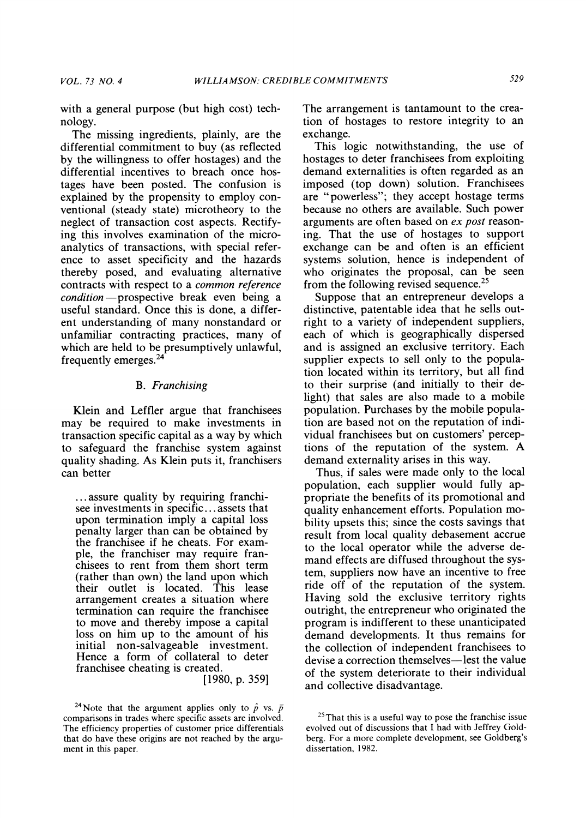**with a general purpose (but high cost) technology.** 

**The missing ingredients, plainly, are the differential commitment to buy (as reflected by the willingness to offer hostages) and the differential incentives to breach once hostages have been posted. The confusion is explained by the propensity to employ conventional (steady state) microtheory to the neglect of transaction cost aspects. Rectifying this involves examination of the microanalytics of transactions, with special reference to asset specificity and the hazards thereby posed, and evaluating alternative contracts with respect to a common reference condition -prospective break even being a useful standard. Once this is done, a different understanding of many nonstandard or unfamiliar contracting practices, many of which are held to be presumptively unlawful, frequently emerges.24** 

## **B. Franchising**

**Klein and Leffler argue that franchisees may be required to make investments in transaction specific capital as a way by which to safeguard the franchise system against quality shading. As Klein puts it, franchisers can better** 

**... assure quality by requiring franchisee investments in specific .., assets that upon termination imply a capital loss penalty larger than can be obtained by the franchisee if he cheats. For example, the franchiser may require franchisees to rent from them short term (rather than own) the land upon which their outlet is located. This lease arrangement creates a situation where termination can require the franchisee to move and thereby impose a capital loss on him up to the amount of his initial non-salvageable investment. Hence a form of collateral to deter franchisee cheating is created.** 

**[1980, p. 359]** 

**The arrangement is tantamount to the creation of hostages to restore integrity to an exchange.** 

**This logic notwithstanding, the use of hostages to deter franchisees from exploiting demand externalities is often regarded as an imposed (top down) solution. Franchisees are "powerless"; they accept hostage terms because no others are available. Such power arguments are often based on ex post reasoning. That the use of hostages to support exchange can be and often is an efficient systems solution, hence is independent of who originates the proposal, can be seen from the following revised sequence.25** 

**Suppose that an entrepreneur develops a distinctive, patentable idea that he sells outright to a variety of independent suppliers, each of which is geographically dispersed and is assigned an exclusive territory. Each supplier expects to sell only to the population located within its territory, but all find to their surprise (and initially to their delight) that sales are also made to a mobile population. Purchases by the mobile population are based not on the reputation of individual franchisees but on customers' perceptions of the reputation of the system. A demand externality arises in this way.** 

**Thus, if sales were made only to the local population, each supplier would fully appropriate the benefits of its promotional and quality enhancement efforts. Population mobility upsets this; since the costs savings that result from local quality debasement accrue to the local operator while the adverse demand effects are diffused throughout the system, suppliers now have an incentive to free ride off of the reputation of the system. Having sold the exclusive territory rights outright, the entrepreneur who originated the program is indifferent to these unanticipated demand developments. It thus remains for the collection of independent franchisees to devise a correction themselves-lest the value of the system deteriorate to their individual and collective disadvantage.** 

<sup>&</sup>lt;sup>24</sup> Note that the argument applies only to  $\hat{p}$  vs.  $\bar{p}$ **comparisons in trades where specific assets are involved. The efficiency properties of customer price differentials that do have these origins are not reached by the argument in this paper.** 

**<sup>25</sup>That this is a useful way to pose the franchise issue evolved out of discussions that I had with Jeffrey Goldberg. For a more complete development, see Goldberg's dissertation, 1982.**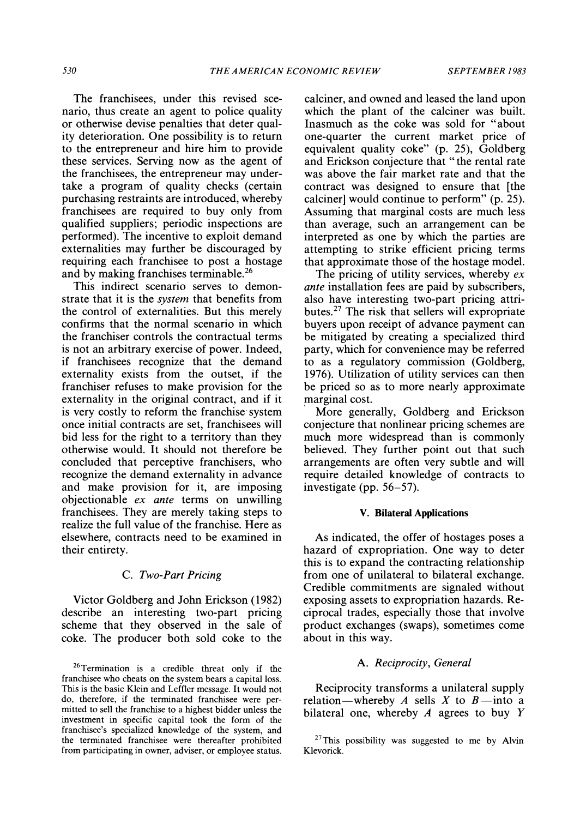**The franchisees, under this revised scenario, thus create an agent to police quality or otherwise devise penalties that deter quality deterioration. One possibility is to return to the entrepreneur and hire him to provide these services. Serving now as the agent of the franchisees, the entrepreneur may undertake a program of quality checks (certain purchasing restraints are introduced, whereby franchisees are required to buy only from qualified suppliers; periodic inspections are performed). The incentive to exploit demand externalities may further be discouraged by requiring each franchisee to post a hostage and by making franchises terminable.26** 

**This indirect scenario serves to demonstrate that it is the system that benefits from the control of externalities. But this merely confirms that the normal scenario in which the franchiser controls the contractual terms is not an arbitrary exercise of power. Indeed, if franchisees recognize that the demand externality exists from the outset, if the franchiser refuses to make provision for the externality in the original contract, and if it is very costly to reform the franchise system once initial contracts are set, franchisees will bid less for the right to a territory than they otherwise would. It should not therefore be concluded that perceptive franchisers, who recognize the demand externality in advance and make provision for it, are imposing objectionable ex ante terms on unwilling franchisees. They are merely taking steps to realize the full value of the franchise. Here as elsewhere, contracts need to be examined in their entirety.** 

## **C. Two-Part Pricing**

**Victor Goldberg and John Erickson (1982) describe an interesting two-part pricing scheme that they observed in the sale of coke. The producer both sold coke to the**  **calciner, and owned and leased the land upon which the plant of the calciner was built. Inasmuch as the coke was sold for "about one-quarter the current market price of equivalent quality coke" (p. 25), Goldberg and Erickson conjecture that "the rental rate was above the fair market rate and that the contract was designed to ensure that [the calciner] would continue to perform" (p. 25). Assuming that marginal costs are much less than average, such an arrangement can be interpreted as one by which the parties are attempting to strike efficient pricing terms that approximate those of the hostage model.** 

**The pricing of utility services, whereby ex ante installation fees are paid by subscribers, also have interesting two-part pricing attributes.27 The risk that sellers will expropriate buyers upon receipt of advance payment can be mitigated by creating a specialized third party, which for convenience may be referred to as a regulatory commission (Goldberg, 1976). Utilization of utility services can then be priced so as to more nearly approximate marginal cost.** 

**More generally, Goldberg and Erickson conjecture that nonlinear pricing schemes are much more widespread than is commonly believed. They further point out that such arrangements are often very subtle and will require detailed knowledge of contracts to investigate (pp. 56-57).** 

#### **V. Bilateral Applications**

**As indicated, the offer of hostages poses a hazard of expropriation. One way to deter this is to expand the contracting relationship from one of unilateral to bilateral exchange. Credible commitments are signaled without exposing assets to expropriation hazards. Reciprocal trades, especially those that involve product exchanges (swaps), sometimes come about in this way.** 

#### **A. Reciprocity, General**

**Reciprocity transforms a unilateral supply**  relation-whereby A sells X to  $B$ -into a **bilateral one, whereby A agrees to buy Y** 

**<sup>26</sup>Termination is a credible threat only if the franchisee who cheats on the system bears a capital loss. This is the basic Klein and Leffler message. It would not do, therefore, if the terminated franchisee were permitted to sell the franchise to a highest bidder unless the investment in specific capital took the form of the franchisee's specialized knowledge of the system, and the terminated franchisee were thereafter prohibited from participating in owner, adviser, or employee status.** 

**<sup>27</sup>This possibility was suggested to me by Alvin Klevorick.**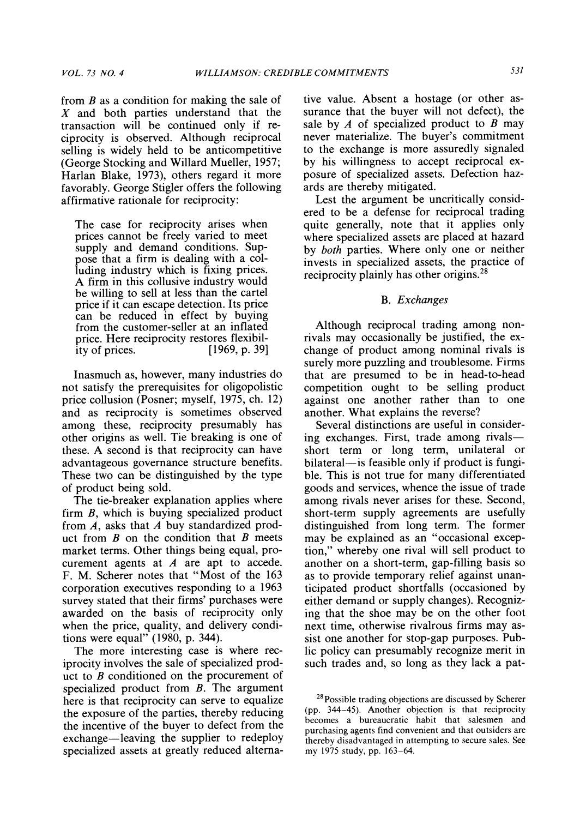**from B as a condition for making the sale of X and both parties understand that the transaction will be continued only if reciprocity is observed. Although reciprocal selling is widely held to be anticompetitive (George Stocking and Willard Mueller, 1957; Harlan Blake, 1973), others regard it more favorably. George Stigler offers the following affirmative rationale for reciprocity:** 

**The case for reciprocity arises when prices cannot be freely varied to meet supply and demand conditions. Suppose that a firm is dealing with a colluding industry which is fixing prices. A firm in this collusive industry would be willing to sell at less than the cartel price if it can escape detection. Its price can be reduced in effect by buying from the customer-seller at an inflated**  price. Here reciprocity restores flexibility of prices. [1969, p. 39] **ity of prices. [1969, p. 39]** 

**Inasmuch as, however, many industries do not satisfy the prerequisites for oligopolistic price collusion (Posner; myself, 1975, ch. 12) and as reciprocity is sometimes observed among these, reciprocity presumably has other origins as well. Tie breaking is one of these. A second is that reciprocity can have advantageous governance structure benefits. These two can be distinguished by the type of product being sold.** 

**The tie-breaker explanation applies where firm B, which is buying specialized product from A, asks that A buy standardized product from B on the condition that B meets market terms. Other things being equal, procurement agents at A are apt to accede. F. M. Scherer notes that "Most of the 163 corporation executives responding to a 1963 survey stated that their firms' purchases were awarded on the basis of reciprocity only when the price, quality, and delivery conditions were equal" (1980, p. 344).** 

**The more interesting case is where reciprocity involves the sale of specialized product to B conditioned on the procurement of specialized product from B. The argument here is that reciprocity can serve to equalize the exposure of the parties, thereby reducing the incentive of the buyer to defect from the exchange-leaving the supplier to redeploy specialized assets at greatly reduced alterna-** **tive value. Absent a hostage (or other assurance that the buyer will not defect), the sale by A of specialized product to B may never materialize. The buyer's commitment to the exchange is more assuredly signaled by his willingness to accept reciprocal exposure of specialized assets. Defection hazards are thereby mitigated.** 

**Lest the argument be uncritically considered to be a defense for reciprocal trading quite generally, note that it applies only where specialized assets are placed at hazard by both parties. Where only one or neither invests in specialized assets, the practice of reciprocity plainly has other origins.28** 

#### **B. Exchanges**

**Although reciprocal trading among nonrivals may occasionally be justified, the exchange of product among nominal rivals is surely more puzzling and troublesome. Firms that are presumed to be in head-to-head competition ought to be selling product against one another rather than to one another. What explains the reverse?** 

**Several distinctions are useful in considering exchanges. First, trade among rivalsshort term or long term, unilateral or**  bilateral—is feasible only if product is fungi**ble. This is not true for many differentiated goods and services, whence the issue of trade among rivals never arises for these. Second, short-term supply agreements are usefully distinguished from long term. The former may be explained as an "occasional exception," whereby one rival will sell product to another on a short-term, gap-filling basis so as to provide temporary relief against unanticipated product shortfalls (occasioned by either demand or supply changes). Recognizing that the shoe may be on the other foot next time, otherwise rivalrous firms may assist one another for stop-gap purposes. Public policy can presumably recognize merit in such trades and, so long as they lack a pat-**

**<sup>28</sup>Possible trading objections are discussed by Scherer (pp. 344-45). Another objection is that reciprocity becomes a bureaucratic habit that salesmen and purchasing agents find convenient and that outsiders are thereby disadvantaged in attempting to secure sales. See my 1975 study, pp. 163-64.**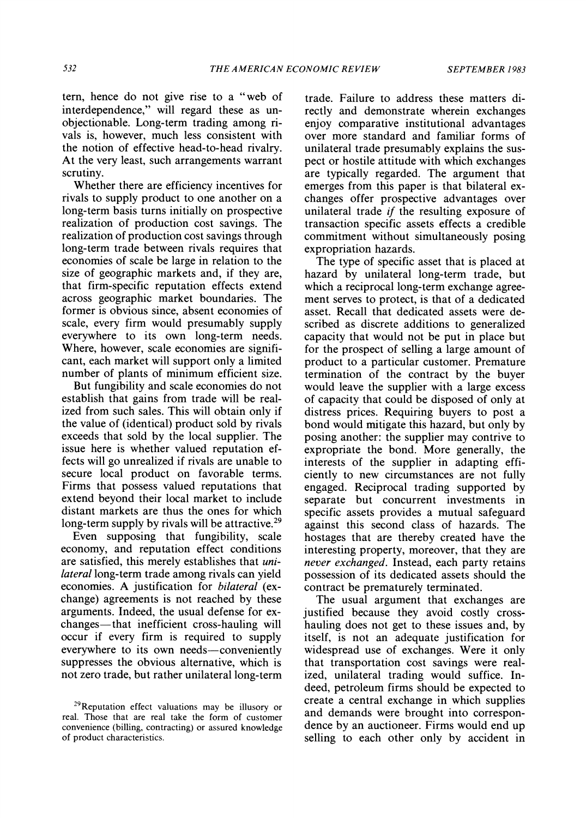**tern, hence do not give rise to a "web of interdependence," will regard these as unobjectionable. Long-term trading among rivals is, however, much less consistent with the notion of effective head-to-head rivalry. At the very least, such arrangements warrant scrutiny.** 

**Whether there are efficiency incentives for rivals to supply product to one another on a long-term basis turns initially on prospective realization of production cost savings. The realization of production cost savings through long-term trade between rivals requires that economies of scale be large in relation to the size of geographic markets and, if they are, that firm-specific reputation effects extend across geographic market boundaries. The former is obvious since, absent economies of scale, every firm would presumably supply everywhere to its own long-term needs. Where, however, scale economies are significant, each market will support only a limited number of plants of minimum efficient size.** 

**But fungibility and scale economies do not establish that gains from trade will be realized from such sales. This will obtain only if the value of (identical) product sold by rivals exceeds that sold by the local supplier. The issue here is whether valued reputation effects will go unrealized if rivals are unable to secure local product on favorable terms. Firms that possess valued reputations that extend beyond their local market to include distant markets are thus the ones for which long-term supply by rivals will be attractive.29** 

**Even supposing that fungibility, scale economy, and reputation effect conditions are satisfied, this merely establishes that unilateral long-term trade among rivals can yield economies. A justification for bilateral (exchange) agreements is not reached by these arguments. Indeed, the usual defense for exchanges-that inefficient cross-hauling will occur if every firm is required to supply everywhere to its own needs-conveniently suppresses the obvious alternative, which is not zero trade, but rather unilateral long-term**  **trade. Failure to address these matters directly and demonstrate wherein exchanges enjoy comparative institutional advantages over more standard and familiar forms of unilateral trade presumably explains the suspect or hostile attitude with which exchanges are typically regarded. The argument that emerges from this paper is that bilateral exchanges offer prospective advantages over unilateral trade if the resulting exposure of transaction specific assets effects a credible commitment without simultaneously posing expropriation hazards.** 

**The type of specific asset that is placed at hazard by unilateral long-term trade, but which a reciprocal long-term exchange agreement serves to protect, is that of a dedicated asset. Recall that dedicated assets were described as discrete additions to generalized capacity that would not be put in place but for the prospect of selling a large amount of product to a particular customer. Premature termination of the contract by the buyer would leave the supplier with a large excess of capacity that could be disposed of only at distress prices. Requiring buyers to post a bond would mitigate this hazard, but only by posing another: the supplier may contrive to expropriate the bond. More generally, the interests of the supplier in adapting efficiently to new circumstances are not fully engaged. Reciprocal trading supported by separate but concurrent investments in specific assets provides a mutual safeguard against this second class of hazards. The hostages that are thereby created have the interesting property, moreover, that they are never exchanged. Instead, each party retains possession of its dedicated assets should the contract be prematurely terminated.** 

**The usual argument that exchanges are justified because they avoid costly crosshauling does not get to these issues and, by itself, is not an adequate justification for widespread use of exchanges. Were it only that transportation cost savings were realized, unilateral trading would suffice. Indeed, petroleum firms should be expected to create a central exchange in which supplies and demands were brought into correspondence by an auctioneer. Firms would end up selling to each other only by accident in** 

**<sup>29</sup>Reputation effect valuations may be illusory or real. Those that are real take the form of customer convenience (billing, contracting) or assured knowledge of product characteristics.**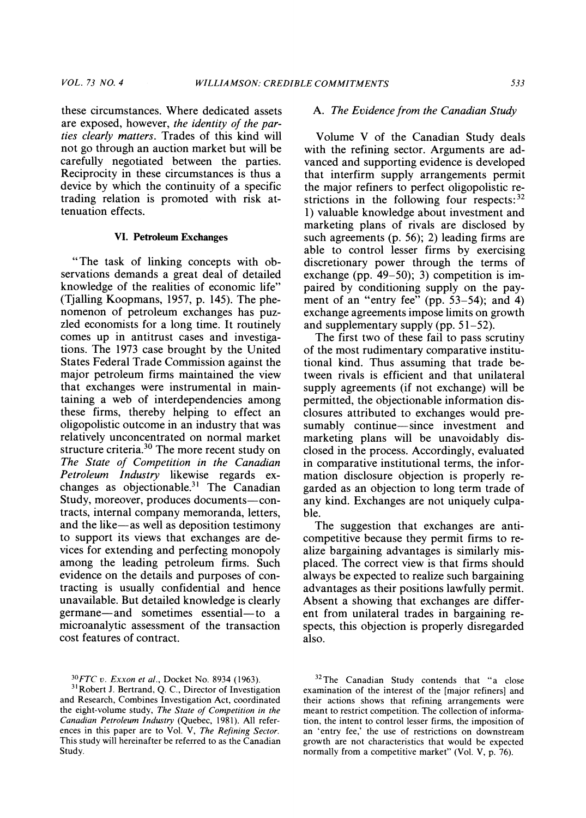**these circumstances. Where dedicated assets are exposed, however, the identity of the parties clearly matters. Trades of this kind will not go through an auction market but will be carefully negotiated between the parties. Reciprocity in these circumstances is thus a device by which the continuity of a specific trading relation is promoted with risk attenuation effects.** 

#### **VI. Petroleum Exchanges**

**"The task of linking concepts with observations demands a great deal of detailed knowledge of the realities of economic life" (Tjalling Koopmans, 1957, p. 145). The phenomenon of petroleum exchanges has puzzled economists for a long time. It routinely comes up in antitrust cases and investigations. The 1973 case brought by the United States Federal Trade Commission against the major petroleum firms maintained the view that exchanges were instrumental in maintaining a web of interdependencies among these firms, thereby helping to effect an oligopolistic outcome in an industry that was relatively unconcentrated on normal market structure criteria.30 The more recent study on The State of Competition in the Canadian Petroleum Industry likewise regards exchanges as objectionable.3' The Canadian**  Study, moreover, produces documents-con**tracts, internal company memoranda, letters, and the like-as well as deposition testimony to support its views that exchanges are devices for extending and perfecting monopoly among the leading petroleum firms. Such evidence on the details and purposes of contracting is usually confidential and hence unavailable. But detailed knowledge is clearly germane- and sometimes essential- to a microanalytic assessment of the transaction cost features of contract.** 

#### **A. The Evidence from the Canadian Study**

**Volume V of the Canadian Study deals with the refining sector. Arguments are advanced and supporting evidence is developed that interfirm supply arrangements permit the major refiners to perfect oligopolistic restrictions in the following four respects: 32 1) valuable knowledge about investment and marketing plans of rivals are disclosed by such agreements (p. 56); 2) leading firms are able to control lesser firms by exercising discretionary power through the terms of exchange (pp. 49-50); 3) competition is impaired by conditioning supply on the payment of an "entry fee" (pp. 53-54); and 4) exchange agreements impose limits on growth and supplementary supply (pp. 51-52).** 

**The first two of these fail to pass scrutiny of the most rudimentary comparative institutional kind. Thus assuming that trade between rivals is efficient and that unilateral supply agreements (if not exchange) will be permitted, the objectionable information disclosures attributed to exchanges would pre**sumably continue-since investment and **marketing plans will be unavoidably disclosed in the process. Accordingly, evaluated in comparative institutional terms, the information disclosure objection is properly regarded as an objection to long term trade of any kind. Exchanges are not uniquely culpable.** 

**The suggestion that exchanges are anticompetitive because they permit firms to realize bargaining advantages is similarly misplaced. The correct view is that firms should always be expected to realize such bargaining advantages as their positions lawfully permit. Absent a showing that exchanges are different from unilateral trades in bargaining respects, this objection is properly disregarded also.** 

**30FTC v. Exxon et al., Docket No. 8934 (1963).** 

**31Robert J. Bertrand, Q. C., Director of Investigation and Research, Combines Investigation Act, coordinated the eight-volume study, The State of Competition in the Canadian Petroleum Industry (Quebec, 1981). All references in this paper are to Vol. V, The Refining Sector. This study will hereinafter be referred to as the Canadian Study.** 

**<sup>32</sup>The Canadian Study contends that "a close examination of the interest of the [major refiners] and their actions shows that refining arrangements were meant to restrict competition. The collection of information, the intent to control lesser firms, the imposition of an 'entry fee,' the use of restrictions on downstream growth are not characteristics that would be expected normally from a competitive market" (Vol. V, p. 76).**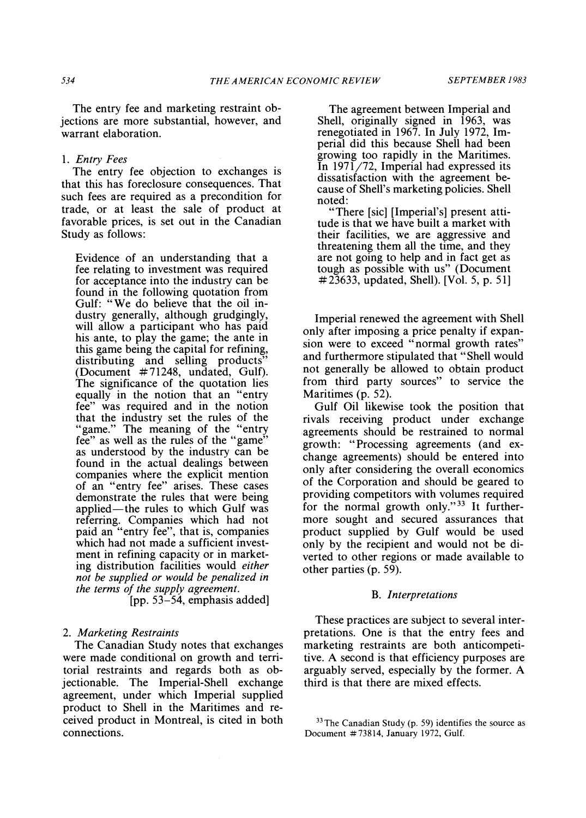**The entry fee and marketing restraint objections are more substantial, however, and warrant elaboration.** 

#### **1. Entry Fees**

**The entry fee objection to exchanges is that this has foreclosure consequences. That such fees are required as a precondition for trade, or at least the sale of product at favorable prices, is set out in the Canadian Study as follows:** 

**Evidence of an understanding that a fee relating to investment was required for acceptance into the industry can be found in the following quotation from Gulf: "We do believe that the oil industry generally, although grudgingly, will allow a participant who has paid his ante, to play the game; the ante in this game being the capital for refining, distributing and selling products" (Document #71248, undated, Gulf). The significance of the quotation lies equally in the notion that an "entry fee" was required and in the notion that the industry set the rules of the "game." The meaning of the "entry fee" as well as the rules of the "game" as understood by the industry can be found in the actual dealings between companies where the explicit mention of an "entry fee" arises. These cases demonstrate the rules that were being applied-the rules to which Gulf was referring. Companies which had not paid an "entry fee", that is, companies which had not made a sufficient investment in refining capacity or in marketing distribution facilities would either not be supplied or would be penalized in the terms of the supply agreement.** 

**[pp. 53-54, emphasis added]** 

#### **2. Marketing Restraints**

**The Canadian Study notes that exchanges were made conditional on growth and territorial restraints and regards both as objectionable. The Imperial-Shell exchange agreement, under which Imperial supplied product to Shell in the Maritimes and received product in Montreal, is cited in both connections.** 

**The agreement between Imperial and Shell, originally signed in 1963, was renegotiated in 1967. In July 1972, Imperial did this because Shell had been growing too rapidly in the Maritimes. In 1971/72, Imperial had expressed its dissatisfaction with the agreement because of Shell's marketing policies. Shell noted:** 

**"There [sic] [Imperial's] present attitude is that we have built a market with their facilities, we are aggressive and threatening them all the time, and they are not going to help and in fact get as tough as possible with us" (Document #23633, updated, Shell). [Vol. 5, p. 51]** 

**Imperial renewed the agreement with Shell only after imposing a price penalty if expansion were to exceed "normal growth rates" and furthermore stipulated that "Shell would not generally be allowed to obtain product from third party sources" to service the Maritimes (p. 52).** 

**Gulf Oil likewise took the position that rivals receiving product under exchange agreements should be restrained to normal growth: "Processing agreements (and exchange agreements) should be entered into only after considering the overall economics of the Corporation and should be geared to providing competitors with volumes required for the normal growth only."33 It furthermore sought and secured assurances that product supplied by Gulf would be used only by the recipient and would not be diverted to other regions or made available to other parties (p. 59).** 

#### **B. Interpretations**

**These practices are subject to several interpretations. One is that the entry fees and marketing restraints are both anticompetitive. A second is that efficiency purposes are arguably served, especially by the former. A third is that there are mixed effects.** 

**<sup>33</sup>The Canadian Study (p. 59) identifies the source as Document #73814, January 1972, Gulf.**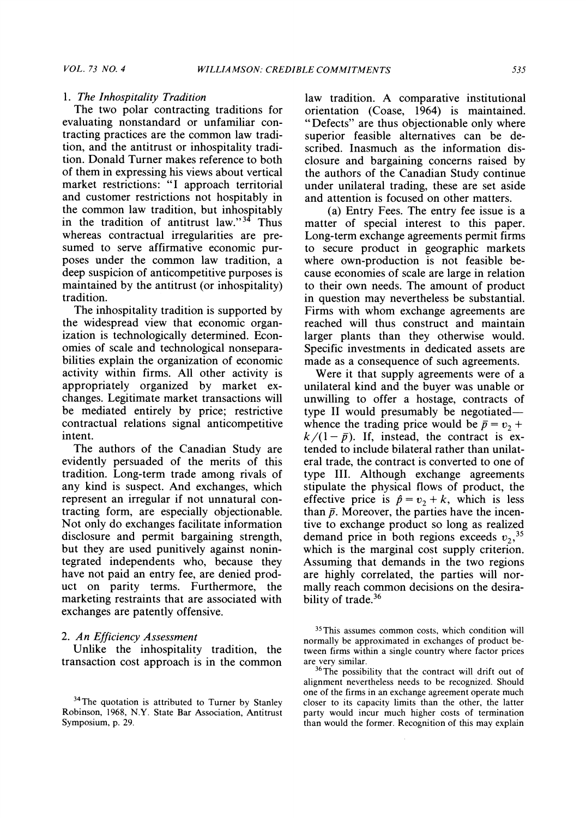## **1. The Inhospitality Tradition**

**The two polar contracting traditions for evaluating nonstandard or unfamiliar contracting practices are the common law tradition, and the antitrust or inhospitality tradition. Donald Turner makes reference to both of them in expressing his views about vertical market restrictions: "I approach territorial and customer restrictions not hospitably in the common law tradition, but inhospitably in the tradition of antitrust law." 34 Thus whereas contractual irregularities are presumed to serve affirmative economic purposes under the common law tradition, a deep suspicion of anticompetitive purposes is maintained by the antitrust (or inhospitality) tradition.** 

**The inhospitality tradition is supported by the widespread view that economic organization is technologically determined. Economies of scale and technological nonseparabilities explain the organization of economic activity within firms. All other activity is appropriately organized by market exchanges. Legitimate market transactions will be mediated entirely by price; restrictive contractual relations signal anticompetitive intent.** 

**The authors of the Canadian Study are evidently persuaded of the merits of this tradition. Long-term trade among rivals of any kind is suspect. And exchanges, which represent an irregular if not unnatural contracting form, are especially objectionable. Not only do exchanges facilitate information disclosure and permit bargaining strength, but they are used punitively against nonintegrated independents who, because they have not paid an entry fee, are denied product on parity terms. Furthermore, the marketing restraints that are associated with exchanges are patently offensive.** 

#### **2. An Efficiency Assessment**

**Unlike the inhospitality tradition, the transaction cost approach is in the common**  **law tradition. A comparative institutional orientation (Coase, 1964) is maintained. "Defects" are thus objectionable only where superior feasible alternatives can be described. Inasmuch as the information disclosure and bargaining concerns raised by the authors of the Canadian Study continue under unilateral trading, these are set aside and attention is focused on other matters.** 

**(a) Entry Fees. The entry fee issue is a matter of special interest to this paper. Long-term exchange agreements permit firms to secure product in geographic markets where own-production is not feasible because economies of scale are large in relation to their own needs. The amount of product in question may nevertheless be substantial. Firms with whom exchange agreements are reached will thus construct and maintain larger plants than they otherwise would. Specific investments in dedicated assets are made as a consequence of such agreements.** 

**Were it that supply agreements were of a unilateral kind and the buyer was unable or unwilling to offer a hostage, contracts of type II would presumably be negotiated**whence the trading price would be  $\bar{p} = v_2 + v_1$  $k/(1 - \bar{p})$ . If, instead, the contract is ex**tended to include bilateral rather than unilateral trade, the contract is converted to one of type III. Although exchange agreements stipulate the physical flows of product, the effective** price is  $\hat{p} = v_2 + k$ , which is less than  $\bar{p}$ . Moreover, the parties have the incen**tive to exchange product so long as realized**  demand price in both regions exceeds  $v_2$ <sup>35</sup> **which is the marginal cost supply criterion. Assuming that demands in the two regions are highly correlated, the parties will normally reach common decisions on the desirability of trade.36** 

**<sup>34</sup>The quotation is attributed to Turner by Stanley Robinson, 1968, N.Y. State Bar Association, Antitrust Symposium, p. 29.** 

**<sup>35</sup>This assumes common costs, which condition will normally be approximated in exchanges of product between firms within a single country where factor prices are very similar.** 

**<sup>36</sup>The possibility that the contract will drift out of alignment nevertheless needs to be recognized. Should one of the firms in an exchange agreement operate much closer to its capacity limits than the other, the latter party would incur much higher costs of termination than would the former. Recognition of this may explain**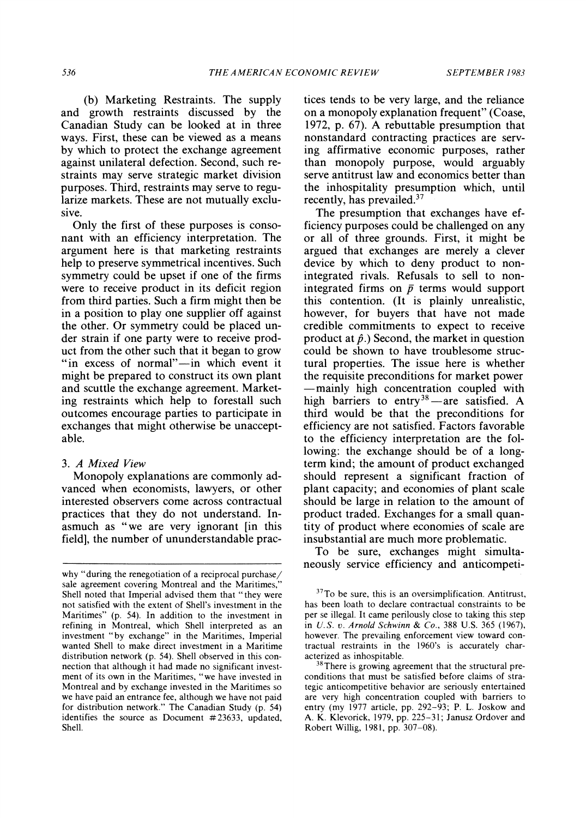**(b) Marketing Restraints. The supply and growth restraints discussed by the Canadian Study can be looked at in three ways. First, these can be viewed as a means by which to protect the exchange agreement against unilateral defection. Second, such restraints may serve strategic market division purposes. Third, restraints may serve to regularize markets. These are not mutually exclusive.** 

**Only the first of these purposes is consonant with an efficiency interpretation. The argument here is that marketing restraints help to preserve symmetrical incentives. Such symmetry could be upset if one of the firms were to receive product in its deficit region from third parties. Such a firm might then be in a position to play one supplier off against the other. Or symmetry could be placed under strain if one party were to receive product from the other such that it began to grow**  "in excess of normal"-in which event it **might be prepared to construct its own plant and scuttle the exchange agreement. Marketing restraints which help to forestall such outcomes encourage parties to participate in exchanges that might otherwise be unacceptable.** 

#### **3. A Mixed View**

**Monopoly explanations are commonly advanced when economists, lawyers, or other interested observers come across contractual practices that they do not understand. Inasmuch as "we are very ignorant [in this field], the number of ununderstandable prac-** **tices tends to be very large, and the reliance on a monopoly explanation frequent" (Coase, 1972, p. 67). A rebuttable presumption that nonstandard contracting practices are serving affirmative economic purposes, rather than monopoly purpose, would arguably serve antitrust law and economics better than the inhospitality presumption which, until recently, has prevailed.37** 

**The presumption that exchanges have efficiency purposes could be challenged on any or all of three grounds. First, it might be argued that exchanges are merely a clever device by which to deny product to nonintegrated rivals. Refusals to sell to non**integrated firms on  $\bar{p}$  terms would support **this contention. (It is plainly unrealistic, however, for buyers that have not made credible commitments to expect to receive**  product at  $\hat{p}$ .) Second, the market in question **could be shown to have troublesome structural properties. The issue here is whether the requisite preconditions for market power -mainly high concentration coupled with**  high barriers to entry<sup>38</sup> — are satisfied. A **third would be that the preconditions for efficiency are not satisfied. Factors favorable to the efficiency interpretation are the following: the exchange should be of a longterm kind; the amount of product exchanged should represent a significant fraction of plant capacity; and economies of plant scale should be large in relation to the amount of product traded. Exchanges for a small quantity of product where economies of scale are insubstantial are much more problematic.** 

**To be sure, exchanges might simultaneously service efficiency and anticompeti-**

**why "during the renegotiation of a reciprocal purchase/ sale agreement covering Montreal and the Maritimes," Shell noted that Imperial advised them that "they were not satisfied with the extent of Shell's investment in the Maritimes" (p. 54). In addition to the investment in refining in Montreal, which Shell interpreted as an investment "by exchange" in the Maritimes, Imperial wanted Shell to make direct investment in a Maritime distribution network (p. 54). Shell observed in this connection that although it had made no significant investment of its own in the Maritimes, "we have invested in Montreal and by exchange invested in the Maritimes so we have paid an entrance fee, although we have not paid for distribution network." The Canadian Study (p. 54) identifies the source as Document #23633, updated, Shell.** 

**<sup>37</sup>To be sure, this is an oversimplification. Antitrust, has been loath to declare contractual constraints to be per se illegal. It came perilously close to taking this step in U.S. v. Arnold Schwinn & Co., 388 U.S. 365 (1967), however. The prevailing enforcement view toward contractual restraints in the 1960's is accurately characterized as inhospitable.** 

**<sup>38</sup>There is growing agreement that the structural preconditions that must be satisfied before claims of strategic anticompetitive behavior are seriously entertained are very high concentration coupled with barriers to entry (my 1977 article, pp. 292-93; P. L. Joskow and A. K. Klevorick, 1979, pp. 225-31; Janusz Ordover and Robert Willig, 1981, pp. 307-08).**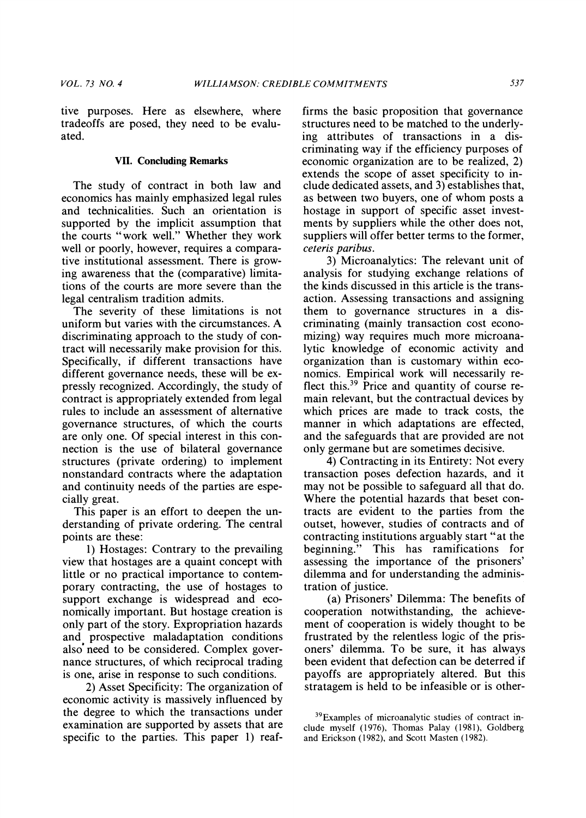**tive purposes. Here as elsewhere, where tradeoffs are posed, they need to be evaluated.** 

#### **VII. Concluding Remarks**

**The study of contract in both law and economics has mainly emphasized legal rules and technicalities. Such an orientation is supported by the implicit assumption that the courts "work well." Whether they work well or poorly, however, requires a comparative institutional assessment. There is growing awareness that the (comparative) limitations of the courts are more severe than the legal centralism tradition admits.** 

**The severity of these limitations is not uniform but varies with the circumstances. A discriminating approach to the study of contract will necessarily make provision for this. Specifically, if different transactions have different governance needs, these will be expressly recognized. Accordingly, the study of contract is appropriately extended from legal rules to include an assessment of alternative governance structures, of which the courts are only one. Of special interest in this connection is the use of bilateral governance structures (private ordering) to implement nonstandard contracts where the adaptation and continuity needs of the parties are especially great.** 

**This paper is an effort to deepen the understanding of private ordering. The central points are these:** 

**1) Hostages: Contrary to the prevailing view that hostages are a quaint concept with little or no practical importance to contemporary contracting, the use of hostages to support exchange is widespread and economically important. But hostage creation is only part of the story. Expropriation hazards and prospective maladaptation conditions also need to be considered. Complex governance structures, of which reciprocal trading is one, arise in response to such conditions.** 

**2) Asset Specificity: The organization of economic activity is massively influenced by the degree to which the transactions under examination are supported by assets that are specific to the parties. This paper 1) reaf-**

**firms the basic proposition that governance structures need to be matched to the underlying attributes of transactions in a discriminating way if the efficiency purposes of economic organization are to be realized, 2) extends the scope of asset specificity to include dedicated assets, and 3) establishes that, as between two buyers, one of whom posts a hostage in support of specific asset investments by suppliers while the other does not, suppliers will offer better terms to the former, ceteris paribus.** 

**3) Microanalytics: The relevant unit of analysis for studying exchange relations of the kinds discussed in this article is the transaction. Assessing transactions and assigning them to governance structures in a discriminating (mainly transaction cost economizing) way requires much more microanalytic knowledge of economic activity and organization than is customary within economics. Empirical work will necessarily reflect this.39 Price and quantity of course remain relevant, but the contractual devices by which prices are made to track costs, the manner in which adaptations are effected, and the safeguards that are provided are not only germane but are sometimes decisive.** 

**4) Contracting in its Entirety: Not every transaction poses defection hazards, and it may not be possible to safeguard all that do. Where the potential hazards that beset contracts are evident to the parties from the outset, however, studies of contracts and of contracting institutions arguably start "at the beginning." This has ramifications for assessing the importance of the prisoners' dilemma and for understanding the administration of justice.** 

**(a) Prisoners' Dilemma: The benefits of cooperation notwithstanding, the achievement of cooperation is widely thought to be frustrated by the relentless logic of the prisoners' dilemma. To be sure, it has always been evident that defection can be deterred if payoffs are appropriately altered. But this stratagem is held to be infeasible or is other-**

**<sup>39</sup>Examples of microanalytic studies of contract include myself (1976), Thomas Palay (1981), Goldberg and Erickson (1982), and Scott Masten (1982).**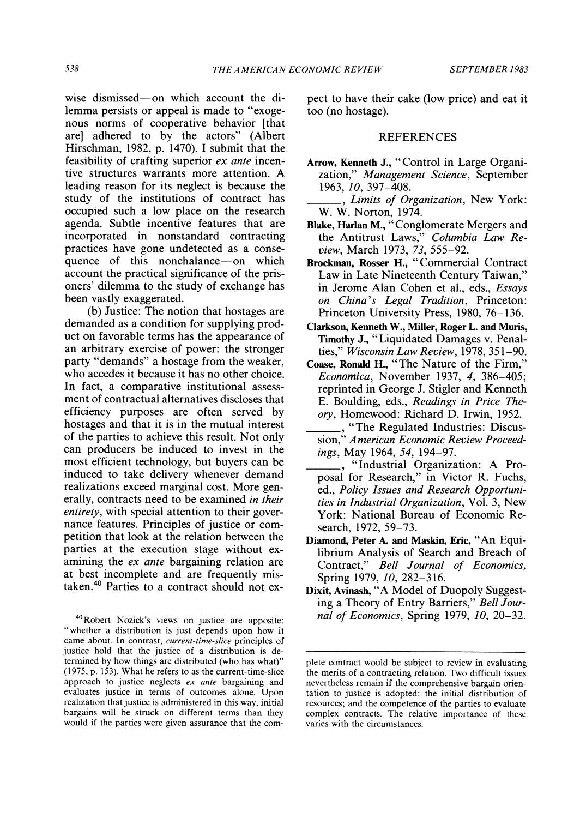wise dismissed-on which account the di**lemma persists or appeal is made to "exogenous norms of cooperative behavior [that are] adhered to by the actors" (Albert Hirschman, 1982, p. 1470). I submit that the feasibility of crafting superior ex ante incentive structures warrants more attention. A leading reason for its neglect is because the study of the institutions of contract has occupied such a low place on the research agenda. Subtle incentive features that are incorporated in nonstandard contracting practices have gone undetected as a consequence of this nonchalance-on which account the practical significance of the prisoners' dilemma to the study of exchange has been vastly exaggerated.** 

**(b) Justice: The notion that hostages are demanded as a condition for supplying product on favorable terms has the appearance of an arbitrary exercise of power: the stronger party "demands" a hostage from the weaker, who accedes it because it has no other choice. In fact, a comparative institutional assessment of contractual alternatives discloses that efficiency purposes are often served by hostages and that it is in the mutual interest of the parties to achieve this result. Not only can producers be induced to invest in the most efficient technology, but buyers can be induced to take delivery whenever demand realizations exceed marginal cost. More generally, contracts need to be examined in their entirety, with special attention to their governance features. Principles of justice or competition that look at the relation between the parties at the execution stage without examining the ex ante bargaining relation are at best incomplete and are frequently mistaken.40 Parties to a contract should not ex-**

**<sup>40</sup>Robert Nozick's views on justice are apposite: "whether a distribution is just depends upon how it came about. In contrast, current-time-slice principles of justice hold that the justice of a distribution is determined by how things are distributed (who has what)" (1975, p. 153). What he refers to as the current-time-slice approach to justice neglects ex ante bargaining and evaluates justice in terms of outcomes alone. Upon realization that justice is administered in this way, initial bargains will be struck on different terms than they would if the parties were given assurance that the com-** **pect to have their cake (low price) and eat it too (no hostage).** 

## **REFERENCES**

- **Arrow, Kenneth J., "Control in Large Organization," Management Science, September 1963, 10, 397-408.** 
	- **, Limits of Organization, New York: W. W. Norton, 1974.**
- **Blake, Harlan M., " Conglomerate Mergers and the Antitrust Laws," Columbia Law Review, March 1973, 73, 555-92.**
- **Brockman, Rosser H., "Commercial Contract Law in Late Nineteenth Century Taiwan," in Jerome Alan Cohen et al., eds., Essays on China's Legal Tradition, Princeton: Princeton University Press, 1980, 76-136.**
- **Clarkson, Kenneth W., Miller, Roger L. and Muris, Timothy J., "Liquidated Damages v. Penalties," Wisconsin Law Review, 1978, 351-90.**
- **Coase, Ronald H., "The Nature of the Firm," Economica, November 1937, 4, 386-405; reprinted in George J. Stigler and Kenneth E. Boulding, eds., Readings in Price Theory, Homewood: Richard D. Irwin, 1952.**
- **, "The Regulated Industries: Discussion," American Economic Review Proceedings, May 1964, 54, 194-97.**
- **, "Industrial Organization: A Proposal for Research," in Victor R. Fuchs, ed., Policy Issues and Research Opportunities in Industrial Organization, Vol. 3, New York: National Bureau of Economic Research, 1972, 59-73.**
- **Diamond, Peter A. and Maskin, Eric, "An Equilibrium Analysis of Search and Breach of Contract," Bell Journal of Economics, Spring 1979, 10, 282-316.**
- **Dixit, Avinash, "A Model of Duopoly Suggesting a Theory of Entry Barriers," Bell Journal of Economics, Spring 1979, 10, 20-32.**

**plete contract would be subject to review in evaluating the merits of a contracting relation. Two difficult issues nevertheless remain if the comprehensive bargain orientation to justice is adopted: the initial distribution of resources; and the competence of the parties to evaluate complex contracts. The relative importance of these varies with the circumstances.**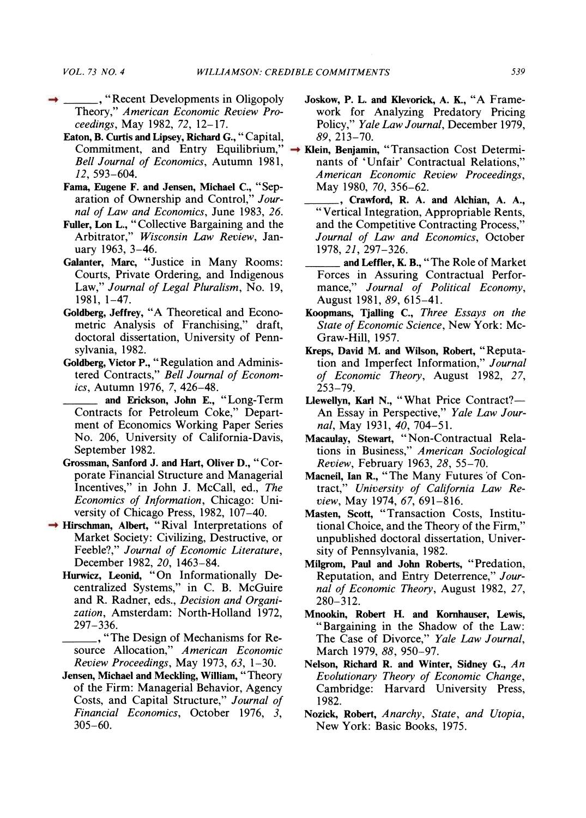- **, "Recent Developments in Oligopoly Theory," American Economic Review Proceedings, May 1982, 72, 12-17.**
- **Eaton, B. Curtis and Lipsey, Richard G., " Capital, Commitment, and Entry Equilibrium," Bell Journal of Economics, Autumn 1981, 12, 593-604.**
- **Fama, Eugene F. and Jensen, Michael C., "Separation of Ownership and Control," Journal of Law and Economics, June 1983, 26.**
- **Fuller, Lon L., "Collective Bargaining and the Arbitrator," Wisconsin Law Review, January 1963, 3-46.**
- **Galanter, Marc, "Justice in Many Rooms: Courts, Private Ordering, and Indigenous Law," Journal of Legal Pluralism, No. 19, 1981, 1-47.**
- **Goldberg, Jeffrey, "A Theoretical and Econometric Analysis of Franchising," draft, doctoral dissertation, University of Pennsylvania, 1982.**
- **Goldberg, Victor P., "Regulation and Administered Contracts," Bell Journal of Economics, Autumn 1976, 7, 426-48.**
- **and Erickson, John E., "Long-Term Contracts for Petroleum Coke," Department of Economics Working Paper Series No. 206, University of California-Davis, September 1982.**
- **Grossman, Sanford J. and Hart, Oliver D., " Corporate Financial Structure and Managerial Incentives," in John J. McCall, ed., The Economics of Information, Chicago: University of Chicago Press, 1982, 107-40.**
- **Hirschman, Albert, "Rival Interpretations of Market Society: Civilizing, Destructive, or Feeble?," Journal of Economic Literature, December 1982, 20, 1463-84.** 
	- Hurwicz, Leonid, "On Informationally De**centralized Systems," in C. B. McGuire and R. Radner, eds., Decision and Organization, Amsterdam: North-Holland 1972, 297-336.** 
		- **, "The Design of Mechanisms for Resource Allocation," American Economic Review Proceedings, May 1973, 63, 1-30.**
	- **Jensen, Michael and Meckling, William, "Theory of the Firm: Managerial Behavior, Agency Costs, and Capital Structure," Journal of Financial Economics, October 1976, 3, 305-60.**
- **Joskow, P. L. and Klevorick, A. K., "A Framework for Analyzing Predatory Pricing Policy," Yale Law Journal, December 1979, 89, 213-70.**
- **Klein, Benjamin, "Transaction Cost Determinants of 'Unfair' Contractual Relations," American Economic Review Proceedings, May 1980, 70, 356-62.** 
	- **, Crawford, R. A. and Alchian, A. A., Vertical Integration, Appropriable Rents, and the Competitive Contracting Process," Journal of Law and Economics, October 1978, 21, 297-326.**
	- **and Leffler, K. B., "The Role of Market Forces in Assuring Contractual Performance," Journal of Political Economy, August 1981, 89, 615-41.**
	- **Koopmans, Tjalling C., Three Essays on the State of Economic Science, New York: Mc-Graw-Hill, 1957.**
	- **Kreps, David M. and Wilson, Robert, "Reputation and Imperfect Information," Journal of Economic Theory, August 1982, 27, 253-79.**
	- Llewellyn, Karl N., "What Price Contract?-**An Essay in Perspective," Yale Law Journal, May 1931, 40, 704-5 1.**
	- **Macaulay, Stewart, "Non-Contractual Relations in Business," American Sociological Review, February 1963, 28, 55-70.**
	- Macneil, Ian R., "The Many Futures of Con**tract," University of California Law Review, May 1974, 67, 691-816.**
	- **Masten, Scott, "Transaction Costs, Institutional Choice, and the Theory of the Firm," unpublished doctoral dissertation, University of Pennsylvania, 1982.**
	- **Milgrom, Paul and John Roberts, "Predation, Reputation, and Entry Deterrence," Journal of Economic Theory, August 1982, 27, 280-312.**
	- **Mnookin, Robert H. and Kornhauser, Lewis, "Bargaining in the Shadow of the Law: The Case of Divorce," Yale Law Journal, March 1979, 88, 950-97.**
	- **Nelson, Richard R. and Winter, Sidney G., An Evolutionary Theory of Economic Change, Cambridge: Harvard University Press, 1982.**
	- **Nozick, Robert, Anarchy, State, and Utopia, New York: Basic Books, 1975.**